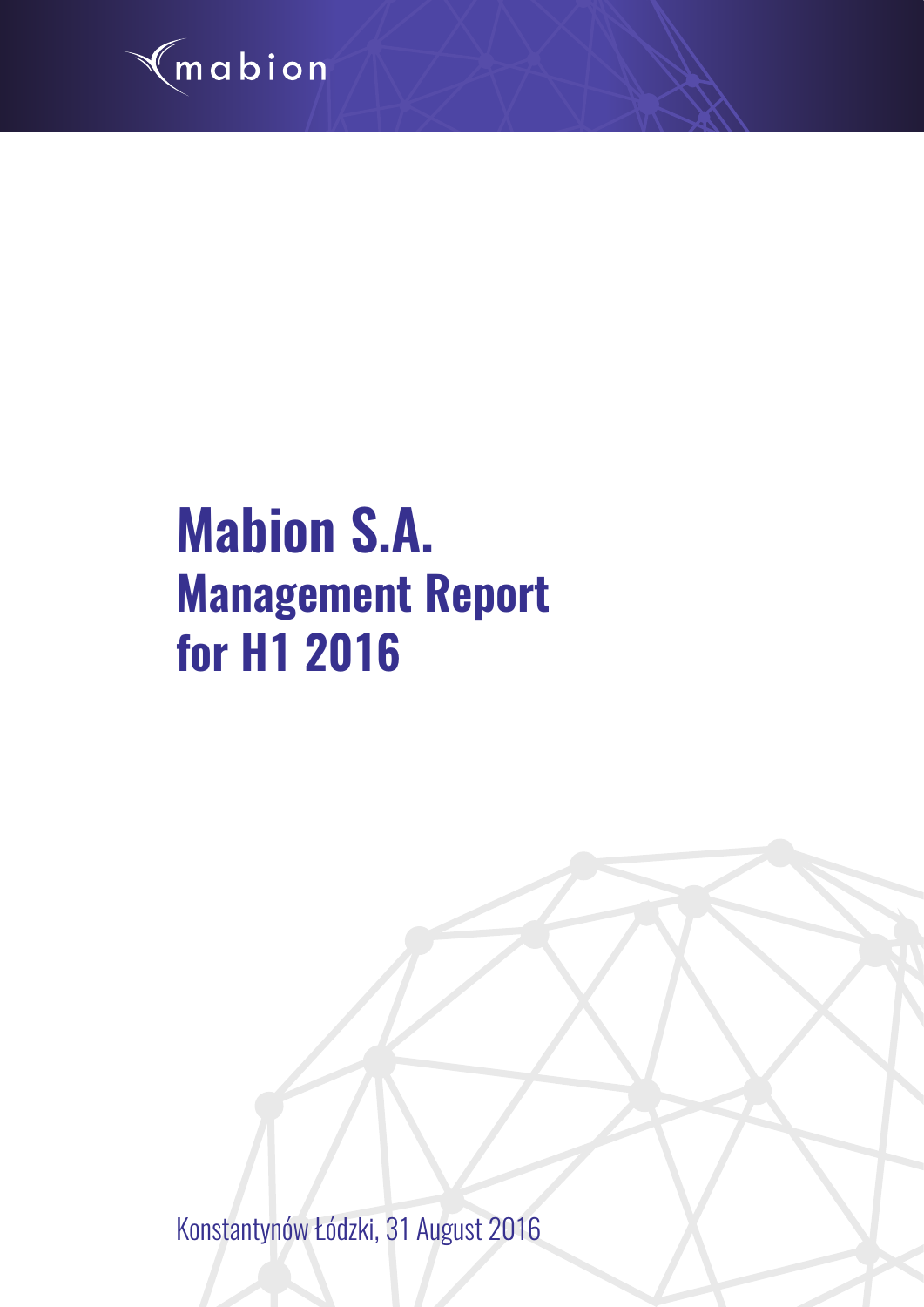

# **Mabion S.A. for H1 2016 for H1** 2016

Konstantynów Łódzki, 31 August 2016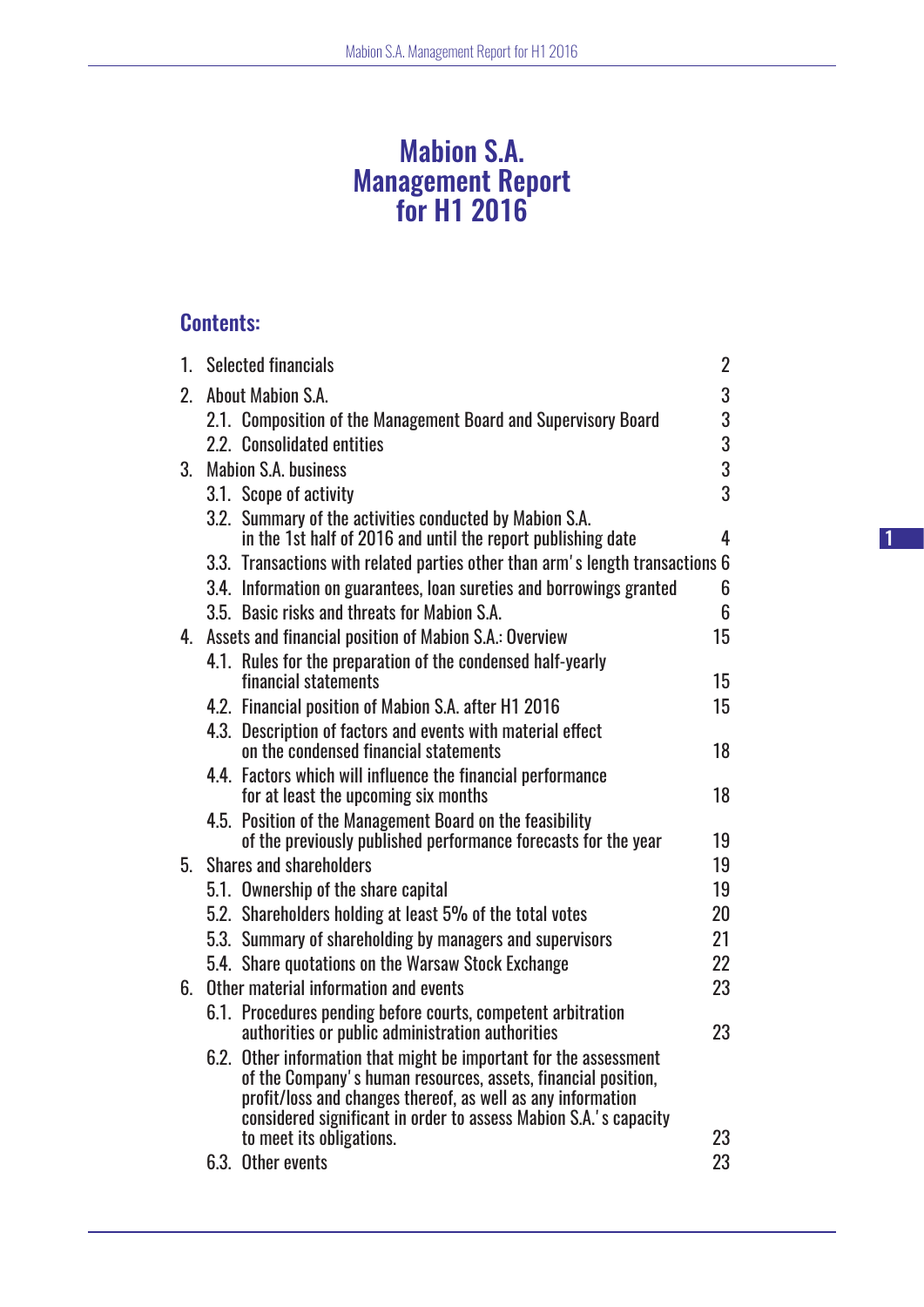# Mabion S.A. Management Report for H1 2016

# Contents:

|                | 1. Selected financials                                                                                                                                                                                                                                                | $\overline{2}$ |
|----------------|-----------------------------------------------------------------------------------------------------------------------------------------------------------------------------------------------------------------------------------------------------------------------|----------------|
| 2 <sub>1</sub> | About Mabion S.A.                                                                                                                                                                                                                                                     | 3              |
|                | 2.1. Composition of the Management Board and Supervisory Board                                                                                                                                                                                                        | 3              |
|                | 2.2. Consolidated entities                                                                                                                                                                                                                                            | 3              |
| 3.             | <b>Mabion S.A. business</b>                                                                                                                                                                                                                                           | 3              |
|                | 3.1. Scope of activity                                                                                                                                                                                                                                                | 3              |
|                | 3.2. Summary of the activities conducted by Mabion S.A.<br>in the 1st half of 2016 and until the report publishing date                                                                                                                                               | 4              |
|                | 3.3. Transactions with related parties other than arm's length transactions 6                                                                                                                                                                                         |                |
|                | 3.4. Information on guarantees, loan sureties and borrowings granted                                                                                                                                                                                                  | 6              |
|                | 3.5. Basic risks and threats for Mabion S.A.                                                                                                                                                                                                                          | 6              |
|                | 4. Assets and financial position of Mabion S.A.: Overview                                                                                                                                                                                                             | 15             |
|                | 4.1. Rules for the preparation of the condensed half-yearly<br>financial statements                                                                                                                                                                                   | $15\,$         |
|                | 4.2. Financial position of Mabion S.A. after H1 2016                                                                                                                                                                                                                  | 15             |
|                | 4.3. Description of factors and events with material effect<br>on the condensed financial statements                                                                                                                                                                  | 18             |
|                | 4.4. Factors which will influence the financial performance<br>for at least the upcoming six months                                                                                                                                                                   | 18             |
|                | 4.5. Position of the Management Board on the feasibility<br>of the previously published performance forecasts for the year                                                                                                                                            | 19             |
| 5.             | <b>Shares and shareholders</b>                                                                                                                                                                                                                                        | 19             |
|                | 5.1. Ownership of the share capital                                                                                                                                                                                                                                   | 19             |
|                | 5.2. Shareholders holding at least 5% of the total votes                                                                                                                                                                                                              | 20             |
|                | 5.3. Summary of shareholding by managers and supervisors                                                                                                                                                                                                              | 21             |
|                | 5.4. Share quotations on the Warsaw Stock Exchange                                                                                                                                                                                                                    | 22             |
| 6.             | Other material information and events                                                                                                                                                                                                                                 | 23             |
|                | 6.1. Procedures pending before courts, competent arbitration<br>authorities or public administration authorities                                                                                                                                                      | 23             |
|                | 6.2. Other information that might be important for the assessment<br>of the Company's human resources, assets, financial position,<br>profit/loss and changes thereof, as well as any information<br>considered significant in order to assess Mabion S.A.'s capacity |                |
|                | to meet its obligations.                                                                                                                                                                                                                                              | 23             |
|                | 6.3. Other events                                                                                                                                                                                                                                                     | 23             |

1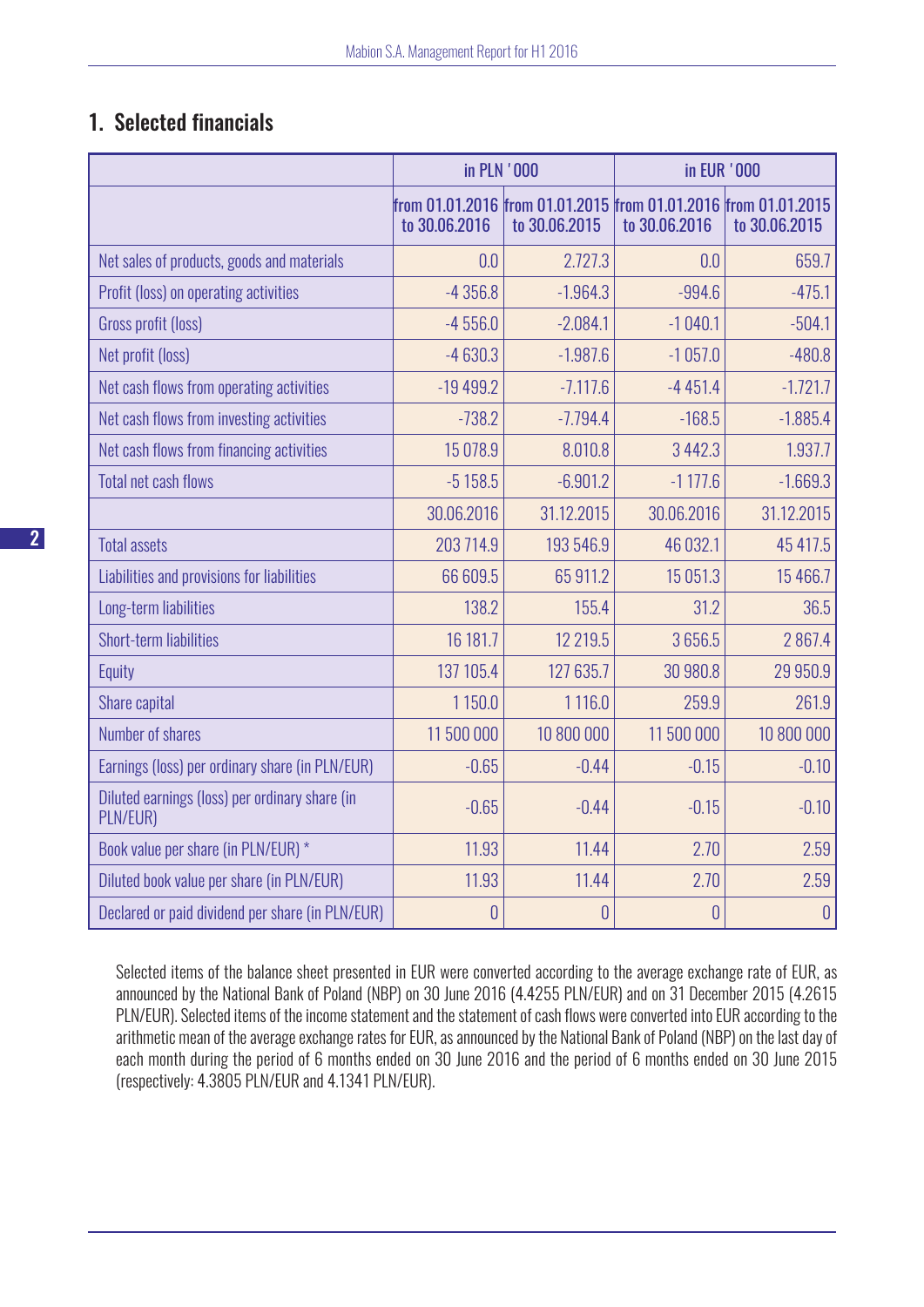# 1. Selected financials

|                                                            | in PLN '000   |               | in EUR '000   |               |
|------------------------------------------------------------|---------------|---------------|---------------|---------------|
|                                                            | to 30.06.2016 | to 30.06.2015 | to 30.06.2016 | to 30.06.2015 |
| Net sales of products, goods and materials                 | 0.0           | 2.727.3       | 0.0           | 659.7         |
| Profit (loss) on operating activities                      | $-4356.8$     | $-1.964.3$    | $-994.6$      | $-475.1$      |
| Gross profit (loss)                                        | $-4556.0$     | $-2.084.1$    | $-1040.1$     | $-504.1$      |
| Net profit (loss)                                          | $-4630.3$     | $-1.987.6$    | $-1057.0$     | $-480.8$      |
| Net cash flows from operating activities                   | $-19499.2$    | $-7.117.6$    | $-4451.4$     | $-1.721.7$    |
| Net cash flows from investing activities                   | $-738.2$      | $-7.794.4$    | $-168.5$      | $-1.885.4$    |
| Net cash flows from financing activities                   | 15 0 78.9     | 8.010.8       | 3 4 4 2 . 3   | 1.937.7       |
| <b>Total net cash flows</b>                                | $-5158.5$     | $-6.901.2$    | $-1177.6$     | $-1.669.3$    |
|                                                            | 30.06.2016    | 31.12.2015    | 30.06.2016    | 31.12.2015    |
| <b>Total assets</b>                                        | 203 714.9     | 193546.9      | 46 032.1      | 45 417.5      |
| Liabilities and provisions for liabilities                 | 66 609.5      | 65 911.2      | 15 0 5 1.3    | 15 466.7      |
| Long-term liabilities                                      | 138.2         | 155.4         | 31.2          | 36.5          |
| <b>Short-term liabilities</b>                              | 16 181.7      | 12 219.5      | 3656.5        | 2867.4        |
| Equity                                                     | 137 105.4     | 127 635.7     | 30 980.8      | 29 950.9      |
| Share capital                                              | 1150.0        | 1116.0        | 259.9         | 261.9         |
| Number of shares                                           | 11 500 000    | 10 800 000    | 11 500 000    | 10 800 000    |
| Earnings (loss) per ordinary share (in PLN/EUR)            | $-0.65$       | $-0.44$       | $-0.15$       | $-0.10$       |
| Diluted earnings (loss) per ordinary share (in<br>PLN/EUR) | $-0.65$       | $-0.44$       | $-0.15$       | $-0.10$       |
| Book value per share (in PLN/EUR) *                        | 11.93         | 11.44         | 2.70          | 2.59          |
| Diluted book value per share (in PLN/EUR)                  | 11.93         | 11.44         | 2.70          | 2.59          |
| Declared or paid dividend per share (in PLN/EUR)           | 0             | 0             | 0             | $\theta$      |

Selected items of the balance sheet presented in EUR were converted according to the average exchange rate of EUR, as announced by the National Bank of Poland (NBP) on 30 June 2016 (4.4255 PLN/EUR) and on 31 December 2015 (4.2615 PLN/EUR). Selected items of the income statement and the statement of cash flows were converted into EUR according to the arithmetic mean of the average exchange rates for EUR, as announced by the National Bank of Poland (NBP) on the last day of each month during the period of 6 months ended on 30 June 2016 and the period of 6 months ended on 30 June 2015 (respectively: 4.3805 PLN/EUR and 4.1341 PLN/EUR).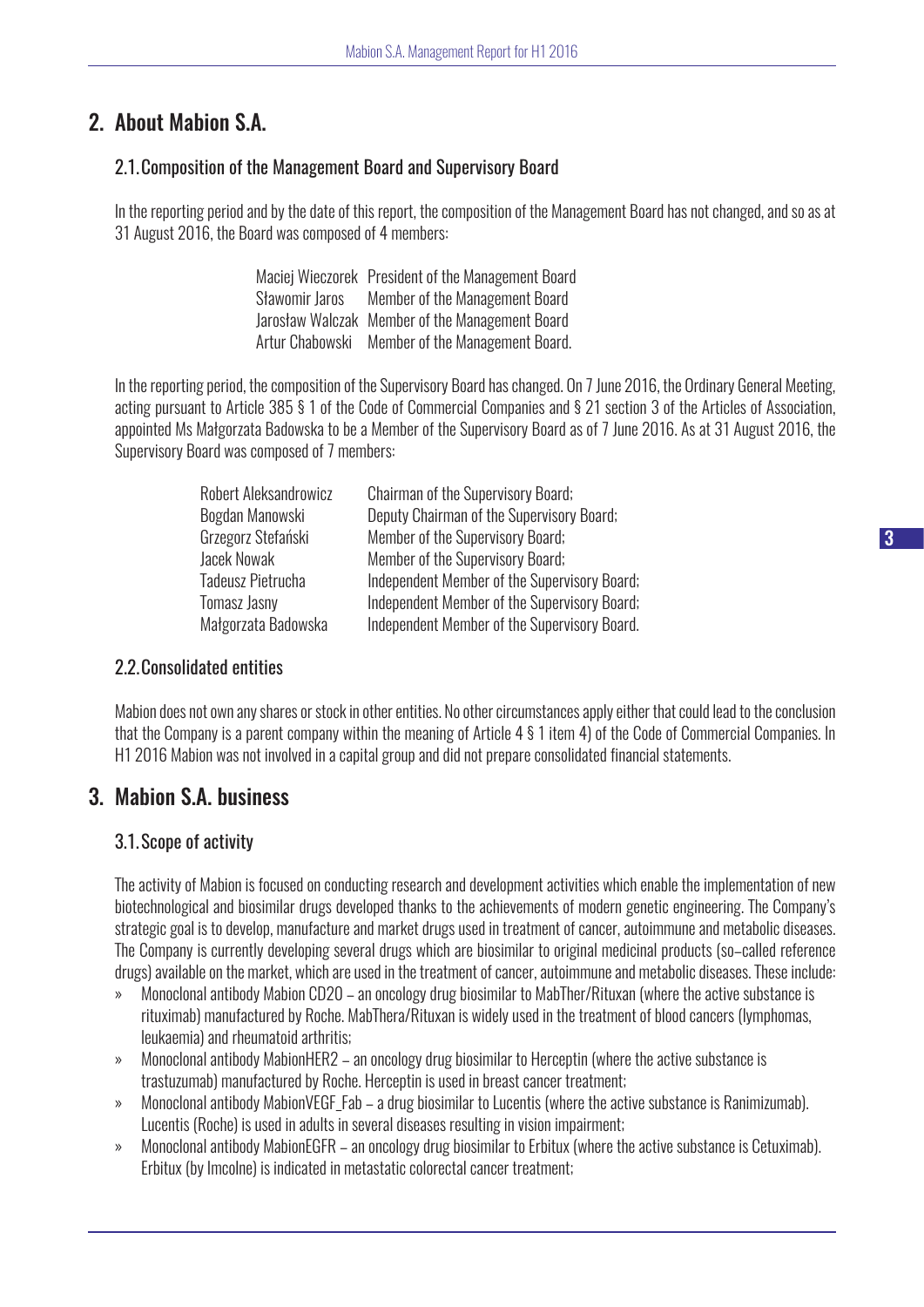# 2. About Mabion S.A.

# 2.1.Composition of the Management Board and Supervisory Board

In the reporting period and by the date of this report, the composition of the Management Board has not changed, and so as at 31 August 2016, the Board was composed of 4 members:

> Maciej Wieczorek President of the Management Board Sławomir Jaros Member of the Management Board Jarosław Walczak Member of the Management Board Artur Chabowski Member of the Management Board.

In the reporting period, the composition of the Supervisory Board has changed. On 7 June 2016, the Ordinary General Meeting, acting pursuant to Article 385 § 1 of the Code of Commercial Companies and § 21 section 3 of the Articles of Association, appointed Ms Małgorzata Badowska to be a Member of the Supervisory Board as of 7 June 2016. As at 31 August 2016, the Supervisory Board was composed of 7 members:

| Robert Aleksandrowicz | <b>Chairman of the Supervisory Board;</b>    |
|-----------------------|----------------------------------------------|
| Bogdan Manowski       | Deputy Chairman of the Supervisory Board;    |
| Grzegorz Stefański    | Member of the Supervisory Board;             |
| Jacek Nowak           | Member of the Supervisory Board;             |
| Tadeusz Pietrucha     | Independent Member of the Supervisory Board; |
| Tomasz Jasny          | Independent Member of the Supervisory Board; |
| Małgorzata Badowska   | Independent Member of the Supervisory Board. |

# 2.2.Consolidated entities

Mabion does not own any shares or stock in other entities. No other circumstances apply either that could lead to the conclusion that the Company is a parent company within the meaning of Article 4 § 1 item 4) of the Code of Commercial Companies. In H1 2016 Mabion was not involved in a capital group and did not prepare consolidated financial statements.

# 3. Mabion S.A. business

# 3.1.Scope of activity

The activity of Mabion is focused on conducting research and development activities which enable the implementation of new biotechnological and biosimilar drugs developed thanks to the achievements of modern genetic engineering. The Company's strategic goal is to develop, manufacture and market drugs used in treatment of cancer, autoimmune and metabolic diseases. The Company is currently developing several drugs which are biosimilar to original medicinal products (so–called reference drugs) available on the market, which are used in the treatment of cancer, autoimmune and metabolic diseases. These include:

- » Monoclonal antibody Mabion CD20 an oncology drug biosimilar to MabTher/Rituxan (where the active substance is rituximab) manufactured by Roche. MabThera/Rituxan is widely used in the treatment of blood cancers (lymphomas, leukaemia) and rheumatoid arthritis;
- » Monoclonal antibody MabionHER2 an oncology drug biosimilar to Herceptin (where the active substance is trastuzumab) manufactured by Roche. Herceptin is used in breast cancer treatment;
- » Monoclonal antibody MabionVEGF Fab a drug biosimilar to Lucentis (where the active substance is Ranimizumab). Lucentis (Roche) is used in adults in several diseases resulting in vision impairment;
- » Monoclonal antibody MabionEGFR an oncology drug biosimilar to Erbitux (where the active substance is Cetuximab). Erbitux (by Imcolne) is indicated in metastatic colorectal cancer treatment;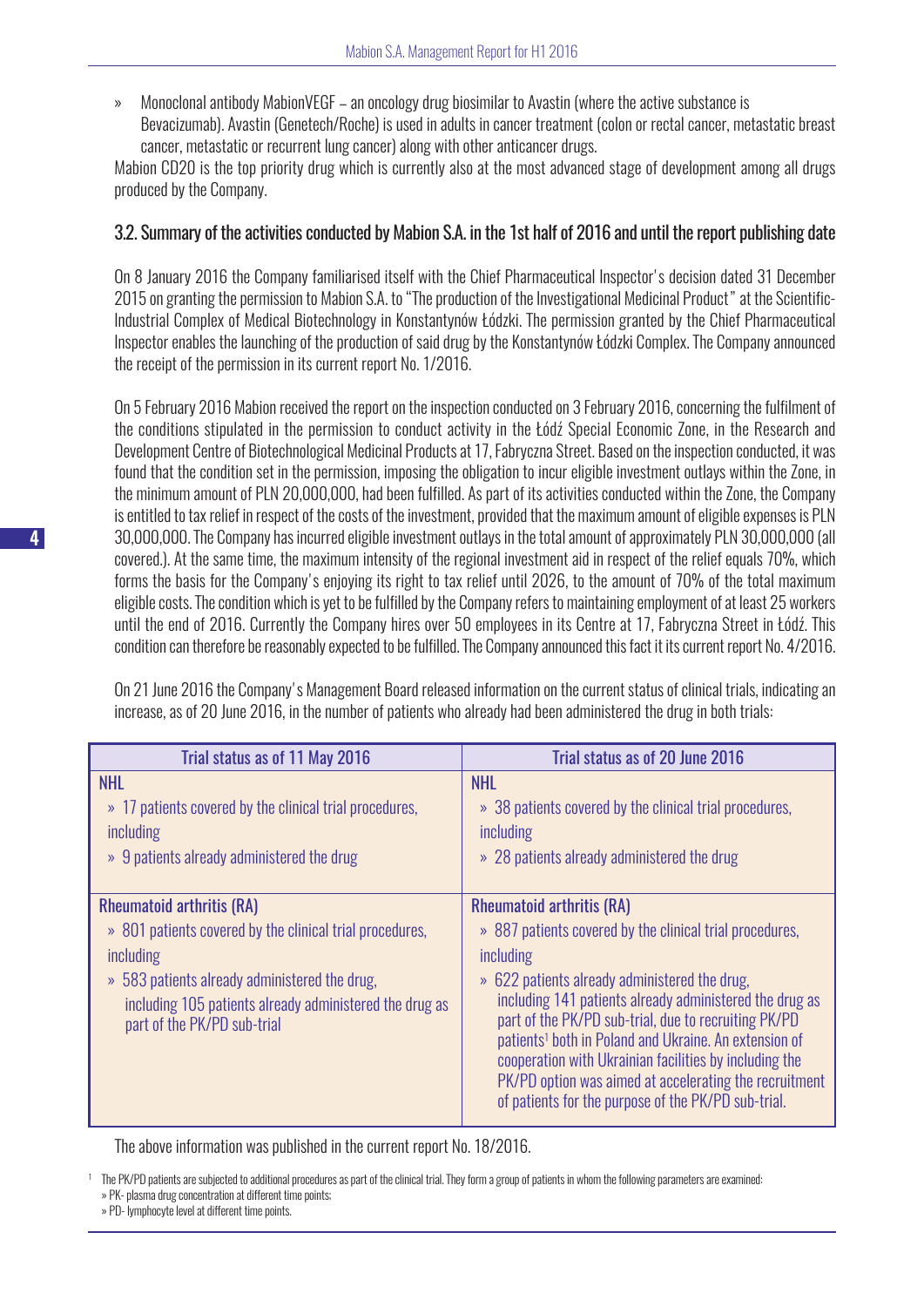» Monoclonal antibody MabionVEGF – an oncology drug biosimilar to Avastin (where the active substance is Bevacizumab). Avastin (Genetech/Roche) is used in adults in cancer treatment (colon or rectal cancer, metastatic breast cancer, metastatic or recurrent lung cancer) along with other anticancer drugs.

Mabion CD20 is the top priority drug which is currently also at the most advanced stage of development among all drugs produced by the Company.

# 3.2. Summary of the activities conducted by Mabion S.A. in the 1st half of 2016 and until the report publishing date

On 8 January 2016 the Company familiarised itself with the Chief Pharmaceutical Inspector's decision dated 31 December 2015 on granting the permission to Mabion S.A. to "The production of the Investigational Medicinal Product" at the Scientific-Industrial Complex of Medical Biotechnology in Konstantynów Łódzki. The permission granted by the Chief Pharmaceutical Inspector enables the launching of the production of said drug by the Konstantynów Łódzki Complex. The Company announced the receipt of the permission in its current report No. 1/2016.

On 5 February 2016 Mabion received the report on the inspection conducted on 3 February 2016, concerning the fulfilment of the conditions stipulated in the permission to conduct activity in the Łódź Special Economic Zone, in the Research and Development Centre of Biotechnological Medicinal Products at 17, Fabryczna Street. Based on the inspection conducted, it was found that the condition set in the permission, imposing the obligation to incur eligible investment outlays within the Zone, in the minimum amount of PLN 20,000,000, had been fulfilled. As part of its activities conducted within the Zone, the Company is entitled to tax relief in respect of the costs of the investment, provided that the maximum amount of eligible expenses is PLN 30,000,000. The Company has incurred eligible investment outlays in the total amount of approximately PLN 30,000,000 (all covered.). At the same time, the maximum intensity of the regional investment aid in respect of the relief equals 70%, which forms the basis for the Company's enjoying its right to tax relief until 2026, to the amount of 70% of the total maximum eligible costs. The condition which is yet to be fulfilled by the Company refers to maintaining employment of at least 25 workers until the end of 2016. Currently the Company hires over 50 employees in its Centre at 17, Fabryczna Street in Łódź. This condition can therefore be reasonably expected to be fulfilled. The Company announced this fact it its current report No. 4/2016.

On 21 June 2016 the Company's Management Board released information on the current status of clinical trials, indicating an increase, as of 20 June 2016, in the number of patients who already had been administered the drug in both trials:

| Trial status as of 11 May 2016                                                                                                                                                                                                                       | Trial status as of 20 June 2016                                                                                                                                                                                                                                                                                                                                                                                                                                                                                               |
|------------------------------------------------------------------------------------------------------------------------------------------------------------------------------------------------------------------------------------------------------|-------------------------------------------------------------------------------------------------------------------------------------------------------------------------------------------------------------------------------------------------------------------------------------------------------------------------------------------------------------------------------------------------------------------------------------------------------------------------------------------------------------------------------|
| <b>NHL</b><br>» 17 patients covered by the clinical trial procedures,<br>including<br>» 9 patients already administered the drug                                                                                                                     | <b>NHL</b><br>» 38 patients covered by the clinical trial procedures,<br>including<br>» 28 patients already administered the drug                                                                                                                                                                                                                                                                                                                                                                                             |
| <b>Rheumatoid arthritis (RA)</b><br>» 801 patients covered by the clinical trial procedures,<br>including<br>» 583 patients already administered the drug,<br>including 105 patients already administered the drug as<br>part of the PK/PD sub-trial | <b>Rheumatoid arthritis (RA)</b><br>» 887 patients covered by the clinical trial procedures,<br>including<br>» 622 patients already administered the drug,<br>including 141 patients already administered the drug as<br>part of the PK/PD sub-trial, due to recruiting PK/PD<br>patients <sup>1</sup> both in Poland and Ukraine. An extension of<br>cooperation with Ukrainian facilities by including the<br>PK/PD option was aimed at accelerating the recruitment<br>of patients for the purpose of the PK/PD sub-trial. |

The above information was published in the current report No. 18/2016.

<sup>1</sup> The PK/PD patients are subjected to additional procedures as part of the clinical trial. They form a group of patients in whom the following parameters are examined: » PK- plasma drug concentration at different time points;

» PD- lymphocyte level at different time points.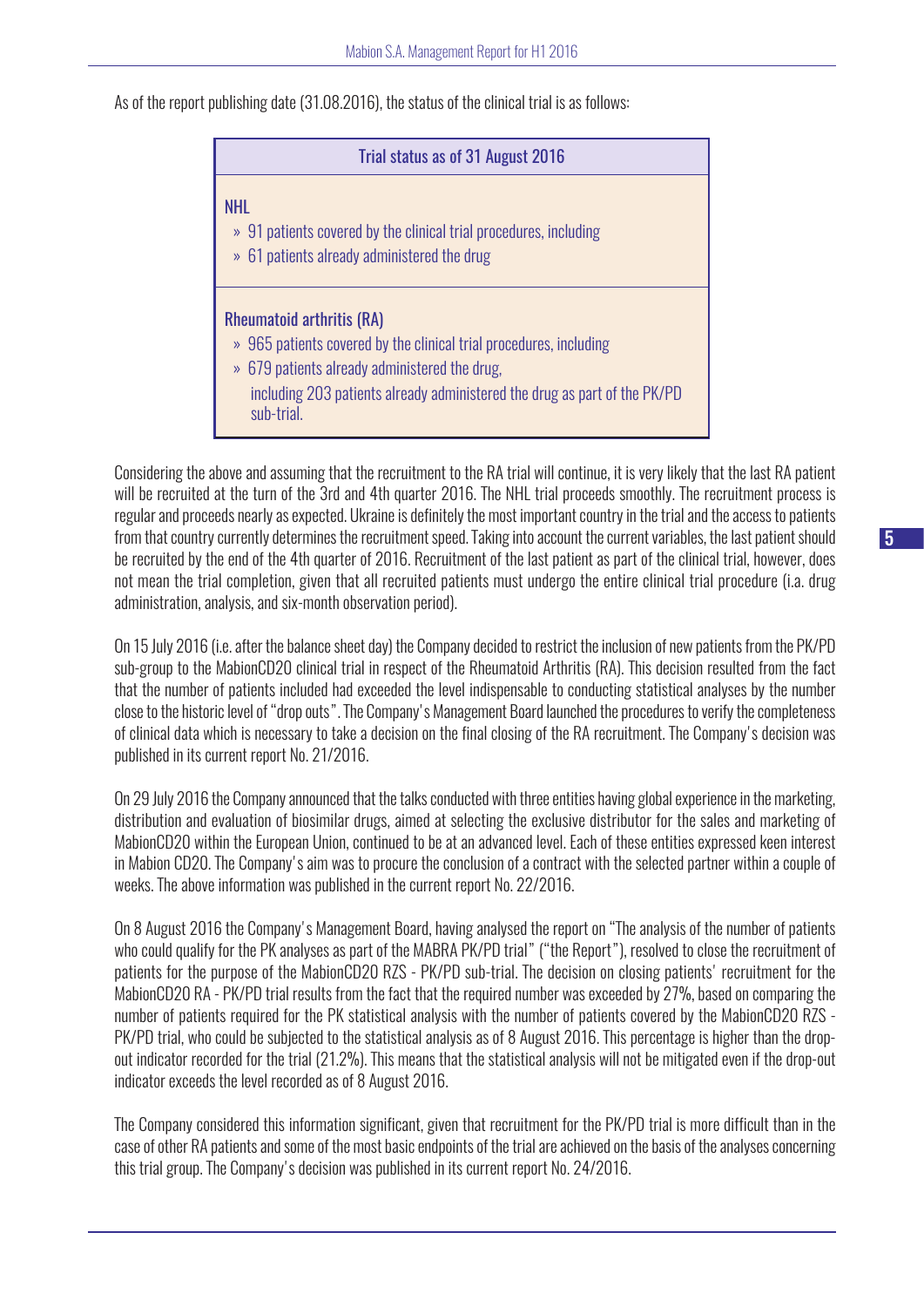As of the report publishing date (31.08.2016), the status of the clinical trial is as follows:

| Trial status as of 31 August 2016                                                                                                                                                                                                                  |  |  |  |  |  |  |
|----------------------------------------------------------------------------------------------------------------------------------------------------------------------------------------------------------------------------------------------------|--|--|--|--|--|--|
| <b>NHL</b><br>» 91 patients covered by the clinical trial procedures, including<br>» 61 patients already administered the drug                                                                                                                     |  |  |  |  |  |  |
| <b>Rheumatoid arthritis (RA)</b><br>» 965 patients covered by the clinical trial procedures, including<br>» 679 patients already administered the drug,<br>including 203 patients already administered the drug as part of the PK/PD<br>sub-trial. |  |  |  |  |  |  |

Considering the above and assuming that the recruitment to the RA trial will continue, it is very likely that the last RA patient will be recruited at the turn of the 3rd and 4th quarter 2016. The NHL trial proceeds smoothly. The recruitment process is regular and proceeds nearly as expected. Ukraine is definitely the most important country in the trial and the access to patients from that country currently determines the recruitment speed. Taking into account the current variables, the last patient should be recruited by the end of the 4th quarter of 2016. Recruitment of the last patient as part of the clinical trial, however, does not mean the trial completion, given that all recruited patients must undergo the entire clinical trial procedure (i.a. drug administration, analysis, and six-month observation period).

On 15 July 2016 (i.e. after the balance sheet day) the Company decided to restrict the inclusion of new patients from the PK/PD sub-group to the MabionCD20 clinical trial in respect of the Rheumatoid Arthritis (RA). This decision resulted from the fact that the number of patients included had exceeded the level indispensable to conducting statistical analyses by the number close to the historic level of "drop outs". The Company's Management Board launched the procedures to verify the completeness of clinical data which is necessary to take a decision on the final closing of the RA recruitment. The Company's decision was published in its current report No. 21/2016.

On 29 July 2016 the Company announced that the talks conducted with three entities having global experience in the marketing, distribution and evaluation of biosimilar drugs, aimed at selecting the exclusive distributor for the sales and marketing of MabionCD20 within the European Union, continued to be at an advanced level. Each of these entities expressed keen interest in Mabion CD20. The Company's aim was to procure the conclusion of a contract with the selected partner within a couple of weeks. The above information was published in the current report No. 22/2016.

On 8 August 2016 the Company's Management Board, having analysed the report on "The analysis of the number of patients who could qualify for the PK analyses as part of the MABRA PK/PD trial" ("the Report"), resolved to close the recruitment of patients for the purpose of the MabionCD20 RZS - PK/PD sub-trial. The decision on closing patients' recruitment for the MabionCD20 RA - PK/PD trial results from the fact that the required number was exceeded by 27%, based on comparing the number of patients required for the PK statistical analysis with the number of patients covered by the MabionCD20 RZS - PK/PD trial, who could be subjected to the statistical analysis as of 8 August 2016. This percentage is higher than the dropout indicator recorded for the trial (21.2%). This means that the statistical analysis will not be mitigated even if the drop-out indicator exceeds the level recorded as of 8 August 2016.

The Company considered this information significant, given that recruitment for the PK/PD trial is more difficult than in the case of other RA patients and some of the most basic endpoints of the trial are achieved on the basis of the analyses concerning this trial group. The Company's decision was published in its current report No. 24/2016.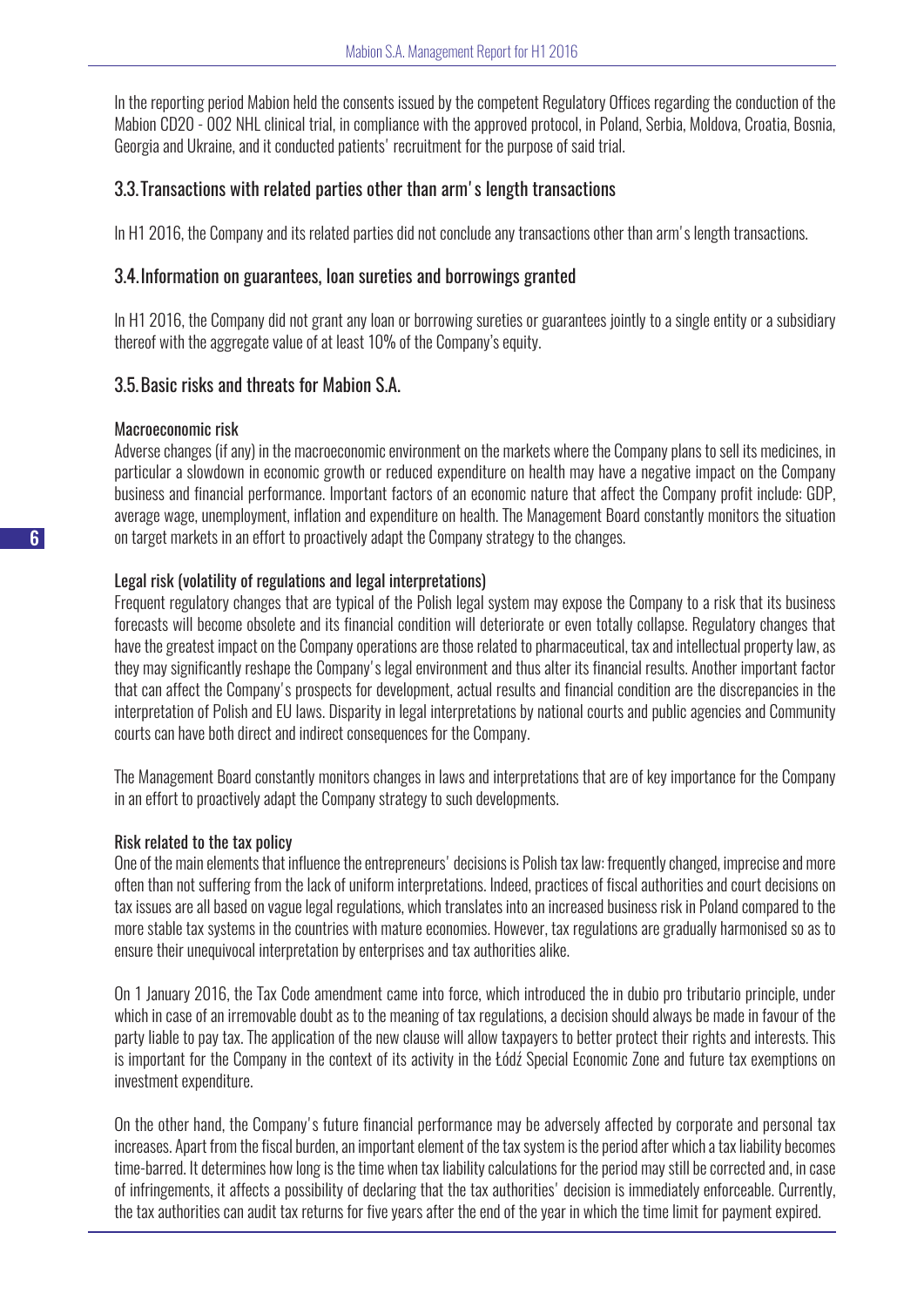In the reporting period Mabion held the consents issued by the competent Regulatory Offices regarding the conduction of the Mabion CD20 - 002 NHL clinical trial, in compliance with the approved protocol, in Poland, Serbia, Moldova, Croatia, Bosnia, Georgia and Ukraine, and it conducted patients' recruitment for the purpose of said trial.

## 3.3.Transactions with related parties other than arm's length transactions

In H1 2016, the Company and its related parties did not conclude any transactions other than arm's length transactions.

## 3.4.Information on guarantees, loan sureties and borrowings granted

In H1 2016, the Company did not grant any loan or borrowing sureties or guarantees jointly to a single entity or a subsidiary thereof with the aggregate value of at least 10% of the Company's equity.

## 3.5.Basic risks and threats for Mabion S.A.

#### Macroeconomic risk

Adverse changes (if any) in the macroeconomic environment on the markets where the Company plans to sell its medicines, in particular a slowdown in economic growth or reduced expenditure on health may have a negative impact on the Company business and financial performance. Important factors of an economic nature that affect the Company profit include: GDP, average wage, unemployment, inflation and expenditure on health. The Management Board constantly monitors the situation on target markets in an effort to proactively adapt the Company strategy to the changes.

## Legal risk (volatility of regulations and legal interpretations)

Frequent regulatory changes that are typical of the Polish legal system may expose the Company to a risk that its business forecasts will become obsolete and its financial condition will deteriorate or even totally collapse. Regulatory changes that have the greatest impact on the Company operations are those related to pharmaceutical, tax and intellectual property law, as they may significantly reshape the Company's legal environment and thus alter its financial results. Another important factor that can affect the Company's prospects for development, actual results and financial condition are the discrepancies in the interpretation of Polish and EU laws. Disparity in legal interpretations by national courts and public agencies and Community courts can have both direct and indirect consequences for the Company.

The Management Board constantly monitors changes in laws and interpretations that are of key importance for the Company in an effort to proactively adapt the Company strategy to such developments.

## Risk related to the tax policy

One of the main elements that influence the entrepreneurs' decisions is Polish tax law: frequently changed, imprecise and more often than not suffering from the lack of uniform interpretations. Indeed, practices of fiscal authorities and court decisions on tax issues are all based on vague legal regulations, which translates into an increased business risk in Poland compared to the more stable tax systems in the countries with mature economies. However, tax regulations are gradually harmonised so as to ensure their unequivocal interpretation by enterprises and tax authorities alike.

On 1 January 2016, the Tax Code amendment came into force, which introduced the in dubio pro tributario principle, under which in case of an irremovable doubt as to the meaning of tax regulations, a decision should always be made in favour of the party liable to pay tax. The application of the new clause will allow taxpayers to better protect their rights and interests. This is important for the Company in the context of its activity in the Łódź Special Economic Zone and future tax exemptions on investment expenditure.

On the other hand, the Company's future financial performance may be adversely affected by corporate and personal tax increases. Apart from the fiscal burden, an important element of the tax system is the period after which a tax liability becomes time-barred. It determines how long is the time when tax liability calculations for the period may still be corrected and, in case of infringements, it affects a possibility of declaring that the tax authorities' decision is immediately enforceable. Currently, the tax authorities can audit tax returns for five years after the end of the year in which the time limit for payment expired.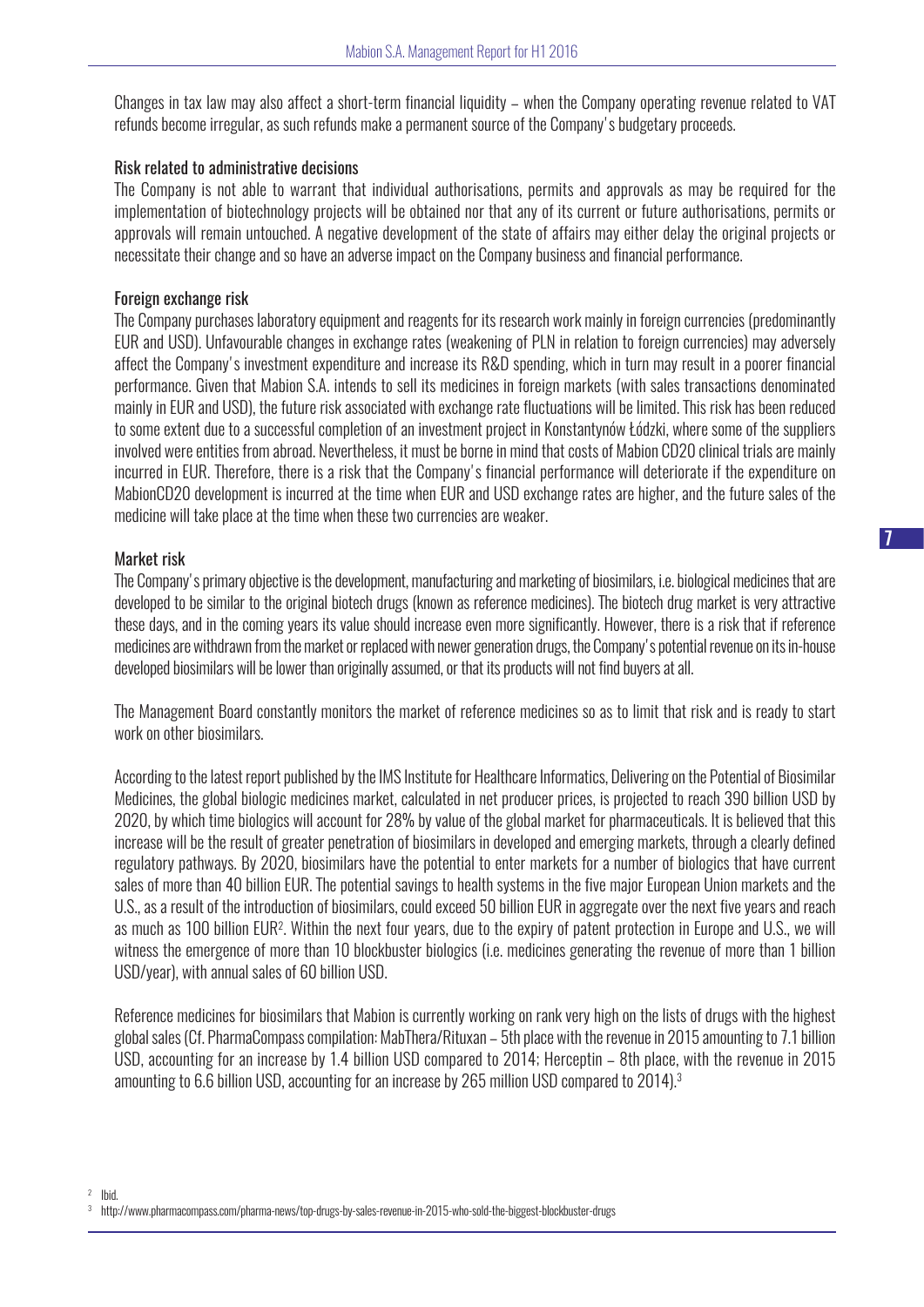Changes in tax law may also affect a short-term financial liquidity – when the Company operating revenue related to VAT refunds become irregular, as such refunds make a permanent source of the Company's budgetary proceeds.

#### Risk related to administrative decisions

The Company is not able to warrant that individual authorisations, permits and approvals as may be required for the implementation of biotechnology projects will be obtained nor that any of its current or future authorisations, permits or approvals will remain untouched. A negative development of the state of affairs may either delay the original projects or necessitate their change and so have an adverse impact on the Company business and financial performance.

#### Foreign exchange risk

The Company purchases laboratory equipment and reagents for its research work mainly in foreign currencies (predominantly EUR and USD). Unfavourable changes in exchange rates (weakening of PLN in relation to foreign currencies) may adversely affect the Company's investment expenditure and increase its R&D spending, which in turn may result in a poorer financial performance. Given that Mabion S.A. intends to sell its medicines in foreign markets (with sales transactions denominated mainly in EUR and USD), the future risk associated with exchange rate fluctuations will be limited. This risk has been reduced to some extent due to a successful completion of an investment project in Konstantynów Łódzki, where some of the suppliers involved were entities from abroad. Nevertheless, it must be borne in mind that costs of Mabion CD20 clinical trials are mainly incurred in EUR. Therefore, there is a risk that the Company's financial performance will deteriorate if the expenditure on MabionCD20 development is incurred at the time when EUR and USD exchange rates are higher, and the future sales of the medicine will take place at the time when these two currencies are weaker.

#### Market risk

The Company's primary objective is the development, manufacturing and marketing of biosimilars, i.e. biological medicines that are developed to be similar to the original biotech drugs (known as reference medicines). The biotech drug market is very attractive these days, and in the coming years its value should increase even more significantly. However, there is a risk that if reference medicines are withdrawn from the market or replaced with newer generation drugs, the Company's potential revenue on its in-house developed biosimilars will be lower than originally assumed, or that its products will not find buyers at all.

The Management Board constantly monitors the market of reference medicines so as to limit that risk and is ready to start work on other biosimilars.

According to the latest report published by the IMS Institute for Healthcare Informatics, Delivering on the Potential of Biosimilar Medicines, the global biologic medicines market, calculated in net producer prices, is projected to reach 390 billion USD by 2020, by which time biologics will account for 28% by value of the global market for pharmaceuticals. It is believed that this increase will be the result of greater penetration of biosimilars in developed and emerging markets, through a clearly defined regulatory pathways. By 2020, biosimilars have the potential to enter markets for a number of biologics that have current sales of more than 40 billion EUR. The potential savings to health systems in the five major European Union markets and the U.S., as a result of the introduction of biosimilars, could exceed 50 billion EUR in aggregate over the next five years and reach as much as 100 billion EUR<sup>2</sup>. Within the next four years, due to the expiry of patent protection in Europe and U.S., we will witness the emergence of more than 10 blockbuster biologics (i.e. medicines generating the revenue of more than 1 billion USD/year), with annual sales of 60 billion USD.

Reference medicines for biosimilars that Mabion is currently working on rank very high on the lists of drugs with the highest global sales (Cf. PharmaCompass compilation: MabThera/Rituxan – 5th place with the revenue in 2015 amounting to 7.1 billion USD, accounting for an increase by 1.4 billion USD compared to 2014; Herceptin – 8th place, with the revenue in 2015 amounting to 6.6 billion USD, accounting for an increase by 265 million USD compared to 2014).3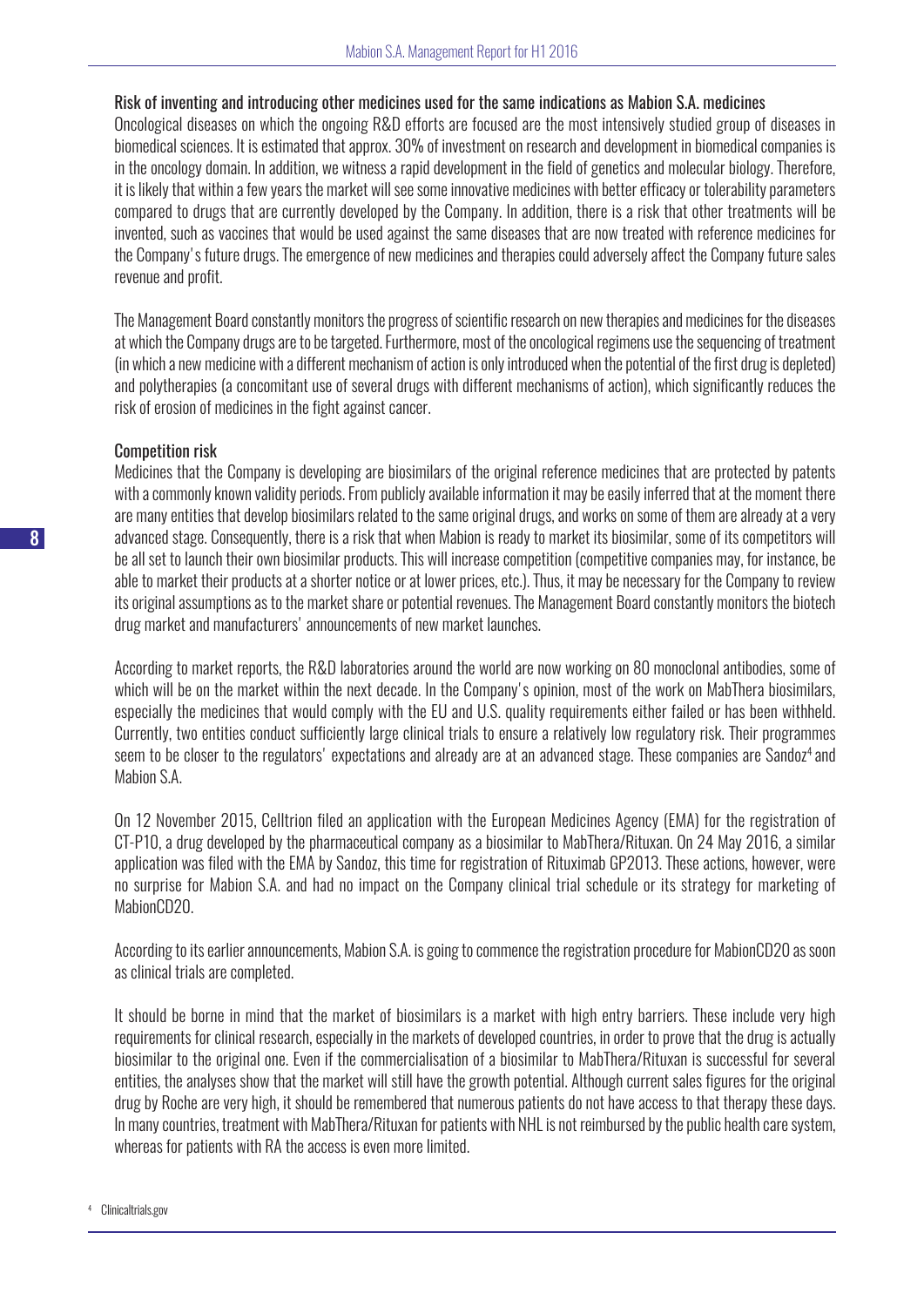#### Risk of inventing and introducing other medicines used for the same indications as Mabion S.A. medicines

Oncological diseases on which the ongoing R&D efforts are focused are the most intensively studied group of diseases in biomedical sciences. It is estimated that approx. 30% of investment on research and development in biomedical companies is in the oncology domain. In addition, we witness a rapid development in the field of genetics and molecular biology. Therefore, it is likely that within a few years the market will see some innovative medicines with better efficacy or tolerability parameters compared to drugs that are currently developed by the Company. In addition, there is a risk that other treatments will be invented, such as vaccines that would be used against the same diseases that are now treated with reference medicines for the Company's future drugs. The emergence of new medicines and therapies could adversely affect the Company future sales revenue and profit.

The Management Board constantly monitors the progress of scientific research on new therapies and medicines for the diseases at which the Company drugs are to be targeted. Furthermore, most of the oncological regimens use the sequencing of treatment (in which a new medicine with a different mechanism of action is only introduced when the potential of the first drug is depleted) and polytherapies (a concomitant use of several drugs with different mechanisms of action), which significantly reduces the risk of erosion of medicines in the fight against cancer.

#### Competition risk

Medicines that the Company is developing are biosimilars of the original reference medicines that are protected by patents with a commonly known validity periods. From publicly available information it may be easily inferred that at the moment there are many entities that develop biosimilars related to the same original drugs, and works on some of them are already at a very advanced stage. Consequently, there is a risk that when Mabion is ready to market its biosimilar, some of its competitors will be all set to launch their own biosimilar products. This will increase competition (competitive companies may, for instance, be able to market their products at a shorter notice or at lower prices, etc.). Thus, it may be necessary for the Company to review its original assumptions as to the market share or potential revenues. The Management Board constantly monitors the biotech drug market and manufacturers' announcements of new market launches.

According to market reports, the R&D laboratories around the world are now working on 80 monoclonal antibodies, some of which will be on the market within the next decade. In the Company's opinion, most of the work on MabThera biosimilars, especially the medicines that would comply with the EU and U.S. quality requirements either failed or has been withheld. Currently, two entities conduct sufficiently large clinical trials to ensure a relatively low regulatory risk. Their programmes seem to be closer to the regulators' expectations and already are at an advanced stage. These companies are Sandoz<sup>4</sup> and Mabion S.A.

On 12 November 2015, Celltrion filed an application with the European Medicines Agency (EMA) for the registration of CT-P10, a drug developed by the pharmaceutical company as a biosimilar to MabThera/Rituxan. On 24 May 2016, a similar application was filed with the EMA by Sandoz, this time for registration of Rituximab GP2013. These actions, however, were no surprise for Mabion S.A. and had no impact on the Company clinical trial schedule or its strategy for marketing of MabionCD20.

According to its earlier announcements, Mabion S.A. is going to commence the registration procedure for MabionCD20 as soon as clinical trials are completed.

It should be borne in mind that the market of biosimilars is a market with high entry barriers. These include very high requirements for clinical research, especially in the markets of developed countries, in order to prove that the drug is actually biosimilar to the original one. Even if the commercialisation of a biosimilar to MabThera/Rituxan is successful for several entities, the analyses show that the market will still have the growth potential. Although current sales figures for the original drug by Roche are very high, it should be remembered that numerous patients do not have access to that therapy these days. In many countries, treatment with MabThera/Rituxan for patients with NHL is not reimbursed by the public health care system, whereas for patients with RA the access is even more limited.

<sup>4</sup> Clinicaltrials.gov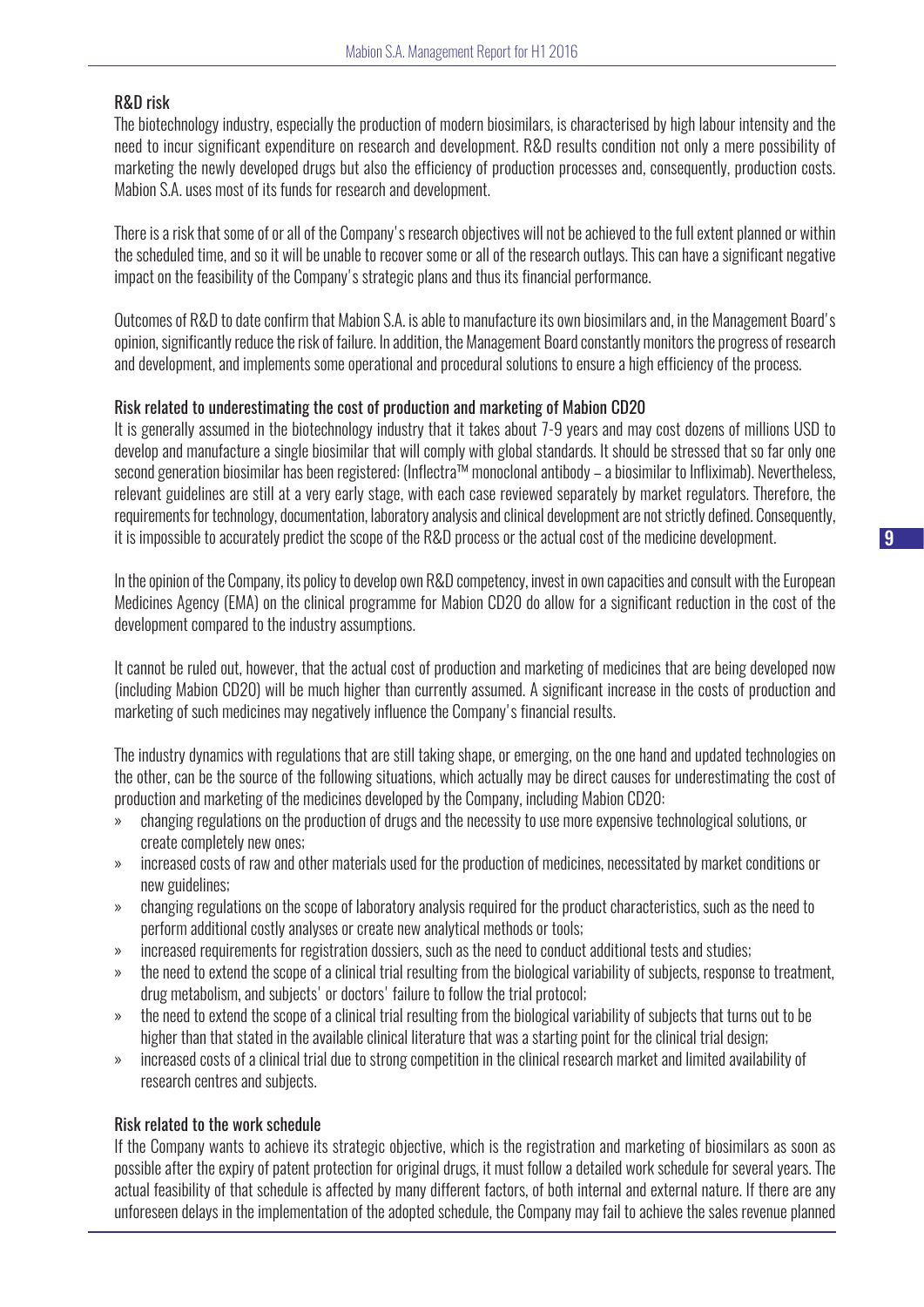#### R&D risk

The biotechnology industry, especially the production of modern biosimilars, is characterised by high labour intensity and the need to incur significant expenditure on research and development. R&D results condition not only a mere possibility of marketing the newly developed drugs but also the efficiency of production processes and, consequently, production costs. Mabion S.A. uses most of its funds for research and development.

There is a risk that some of or all of the Company's research objectives will not be achieved to the full extent planned or within the scheduled time, and so it will be unable to recover some or all of the research outlays. This can have a significant negative impact on the feasibility of the Company's strategic plans and thus its financial performance.

Outcomes of R&D to date confirm that Mabion S.A. is able to manufacture its own biosimilars and, in the Management Board's opinion, significantly reduce the risk of failure. In addition, the Management Board constantly monitors the progress of research and development, and implements some operational and procedural solutions to ensure a high efficiency of the process.

#### Risk related to underestimating the cost of production and marketing of Mabion CD20

It is generally assumed in the biotechnology industry that it takes about 7-9 years and may cost dozens of millions USD to develop and manufacture a single biosimilar that will comply with global standards. It should be stressed that so far only one second generation biosimilar has been registered: (Inflectra™ monoclonal antibody – a biosimilar to Infliximab). Nevertheless, relevant guidelines are still at a very early stage, with each case reviewed separately by market regulators. Therefore, the requirements for technology, documentation, laboratory analysis and clinical development are not strictly defined. Consequently, it is impossible to accurately predict the scope of the R&D process or the actual cost of the medicine development.

In the opinion of the Company, its policy to develop own R&D competency, invest in own capacities and consult with the European Medicines Agency (EMA) on the clinical programme for Mabion CD20 do allow for a significant reduction in the cost of the development compared to the industry assumptions.

It cannot be ruled out, however, that the actual cost of production and marketing of medicines that are being developed now (including Mabion CD20) will be much higher than currently assumed. A significant increase in the costs of production and marketing of such medicines may negatively influence the Company's financial results.

The industry dynamics with regulations that are still taking shape, or emerging, on the one hand and updated technologies on the other, can be the source of the following situations, which actually may be direct causes for underestimating the cost of production and marketing of the medicines developed by the Company, including Mabion CD20:

- » changing regulations on the production of drugs and the necessity to use more expensive technological solutions, or create completely new ones;
- » increased costs of raw and other materials used for the production of medicines, necessitated by market conditions or new guidelines;
- » changing regulations on the scope of laboratory analysis required for the product characteristics, such as the need to perform additional costly analyses or create new analytical methods or tools;
- » increased requirements for registration dossiers, such as the need to conduct additional tests and studies;
- » the need to extend the scope of a clinical trial resulting from the biological variability of subjects, response to treatment, drug metabolism, and subjects' or doctors' failure to follow the trial protocol;
- » the need to extend the scope of a clinical trial resulting from the biological variability of subjects that turns out to be higher than that stated in the available clinical literature that was a starting point for the clinical trial design;
- » increased costs of a clinical trial due to strong competition in the clinical research market and limited availability of research centres and subjects.

#### Risk related to the work schedule

If the Company wants to achieve its strategic objective, which is the registration and marketing of biosimilars as soon as possible after the expiry of patent protection for original drugs, it must follow a detailed work schedule for several years. The actual feasibility of that schedule is affected by many different factors, of both internal and external nature. If there are any unforeseen delays in the implementation of the adopted schedule, the Company may fail to achieve the sales revenue planned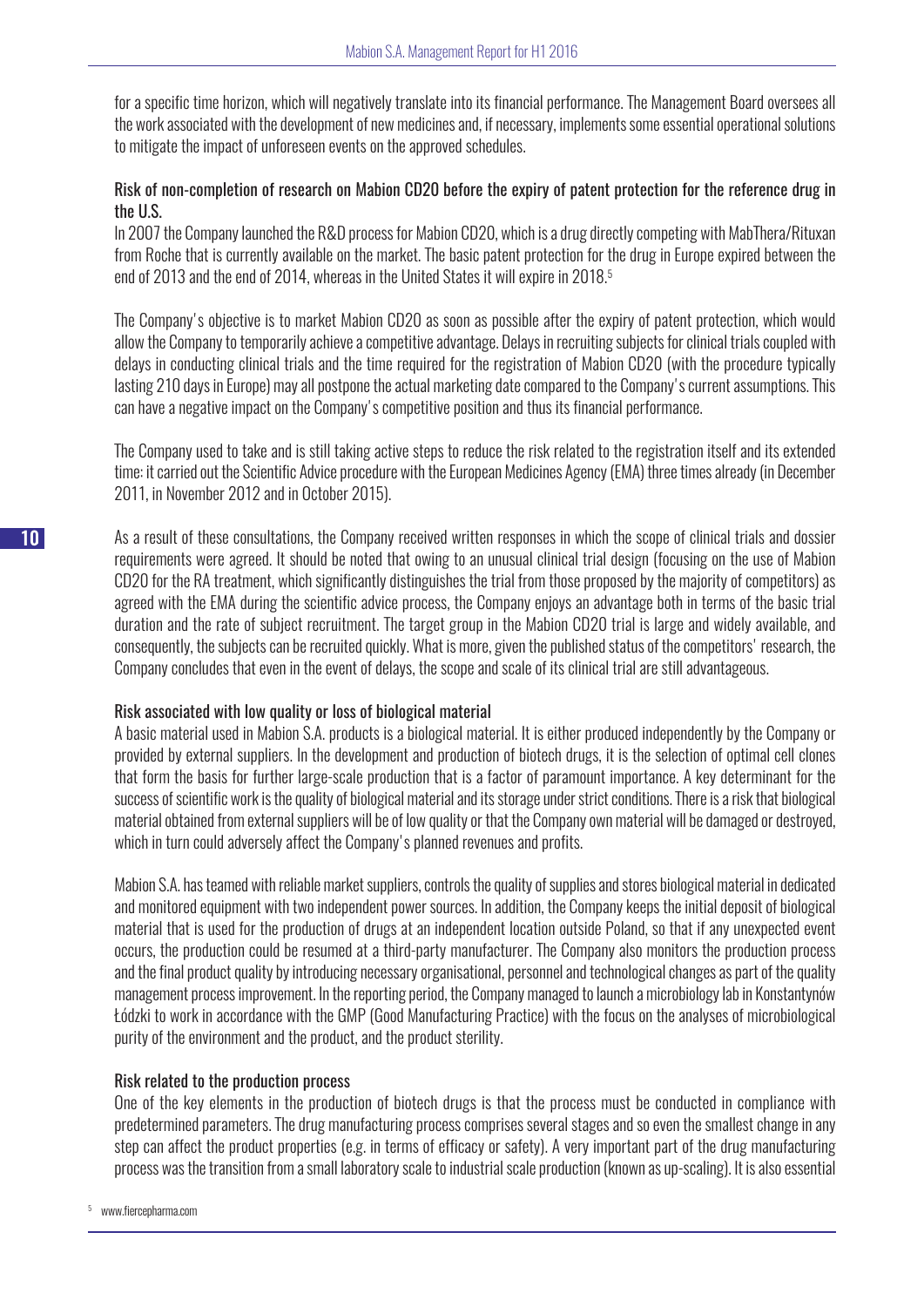for a specific time horizon, which will negatively translate into its financial performance. The Management Board oversees all the work associated with the development of new medicines and, if necessary, implements some essential operational solutions to mitigate the impact of unforeseen events on the approved schedules.

#### Risk of non-completion of research on Mabion CD20 before the expiry of patent protection for the reference drug in the U.S.

In 2007 the Company launched the R&D process for Mabion CD20, which is a drug directly competing with MabThera/Rituxan from Roche that is currently available on the market. The basic patent protection for the drug in Europe expired between the end of 2013 and the end of 2014, whereas in the United States it will expire in 2018.5

The Company's objective is to market Mabion CD20 as soon as possible after the expiry of patent protection, which would allow the Company to temporarily achieve a competitive advantage. Delays in recruiting subjects for clinical trials coupled with delays in conducting clinical trials and the time required for the registration of Mabion CD20 (with the procedure typically lasting 210 days in Europe) may all postpone the actual marketing date compared to the Company's current assumptions. This can have a negative impact on the Company's competitive position and thus its financial performance.

The Company used to take and is still taking active steps to reduce the risk related to the registration itself and its extended time: it carried out the Scientific Advice procedure with the European Medicines Agency (EMA) three times already (in December 2011, in November 2012 and in October 2015).

As a result of these consultations, the Company received written responses in which the scope of clinical trials and dossier requirements were agreed. It should be noted that owing to an unusual clinical trial design (focusing on the use of Mabion CD20 for the RA treatment, which significantly distinguishes the trial from those proposed by the majority of competitors) as agreed with the EMA during the scientific advice process, the Company enjoys an advantage both in terms of the basic trial duration and the rate of subject recruitment. The target group in the Mabion CD20 trial is large and widely available, and consequently, the subjects can be recruited quickly. What is more, given the published status of the competitors' research, the Company concludes that even in the event of delays, the scope and scale of its clinical trial are still advantageous.

#### Risk associated with low quality or loss of biological material

A basic material used in Mabion S.A. products is a biological material. It is either produced independently by the Company or provided by external suppliers. In the development and production of biotech drugs, it is the selection of optimal cell clones that form the basis for further large-scale production that is a factor of paramount importance. A key determinant for the success of scientific work is the quality of biological material and its storage under strict conditions. There is a risk that biological material obtained from external suppliers will be of low quality or that the Company own material will be damaged or destroyed, which in turn could adversely affect the Company's planned revenues and profits.

Mabion S.A. has teamed with reliable market suppliers, controls the quality of supplies and stores biological material in dedicated and monitored equipment with two independent power sources. In addition, the Company keeps the initial deposit of biological material that is used for the production of drugs at an independent location outside Poland, so that if any unexpected event occurs, the production could be resumed at a third-party manufacturer. The Company also monitors the production process and the final product quality by introducing necessary organisational, personnel and technological changes as part of the quality management process improvement. In the reporting period, the Company managed to launch a microbiology lab in Konstantynów Łódzki to work in accordance with the GMP (Good Manufacturing Practice) with the focus on the analyses of microbiological purity of the environment and the product, and the product sterility.

#### Risk related to the production process

One of the key elements in the production of biotech drugs is that the process must be conducted in compliance with predetermined parameters. The drug manufacturing process comprises several stages and so even the smallest change in any step can affect the product properties (e.g. in terms of efficacy or safety). A very important part of the drug manufacturing process was the transition from a small laboratory scale to industrial scale production (known as up-scaling). It is also essential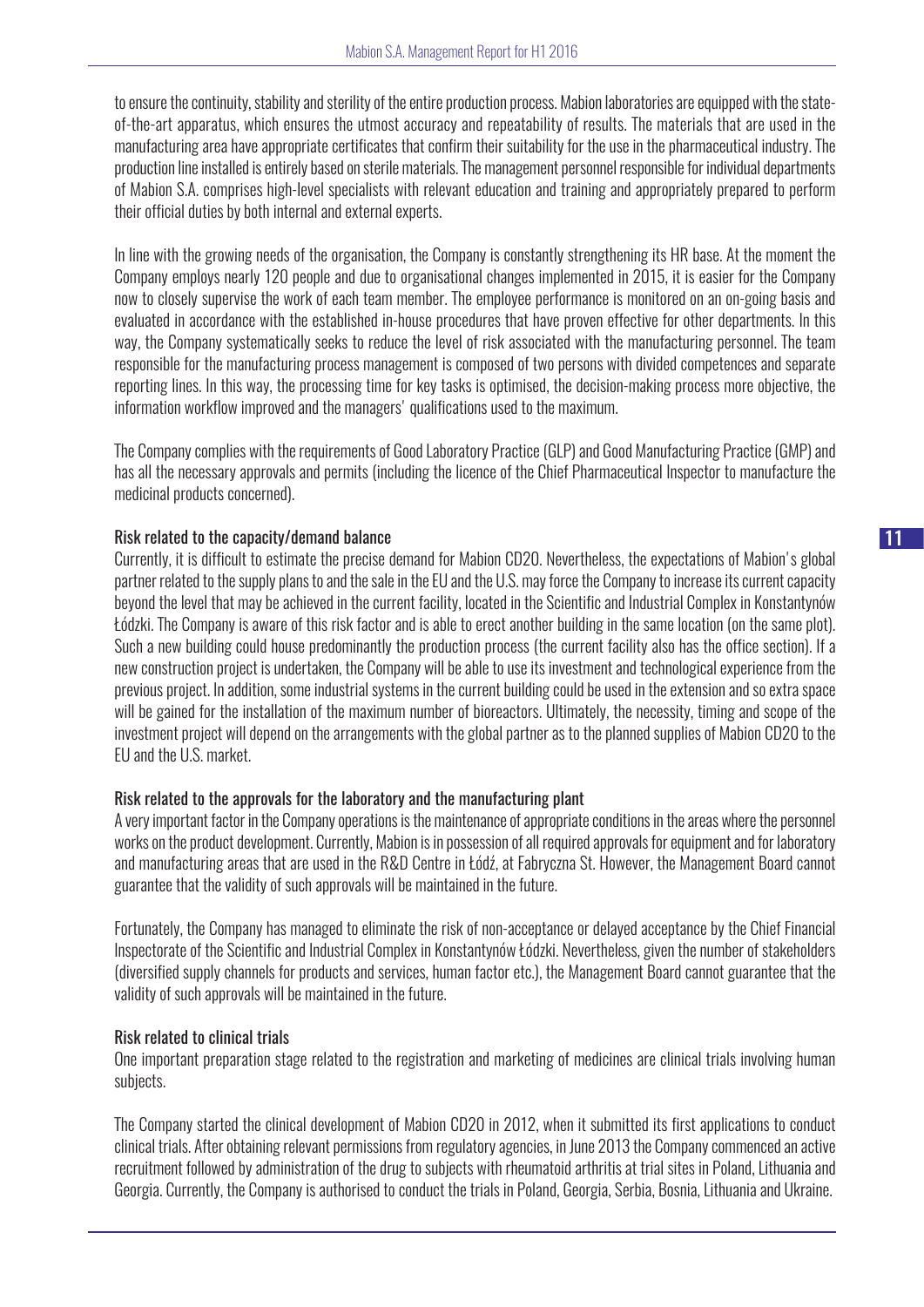to ensure the continuity, stability and sterility of the entire production process. Mabion laboratories are equipped with the stateof-the-art apparatus, which ensures the utmost accuracy and repeatability of results. The materials that are used in the manufacturing area have appropriate certificates that confirm their suitability for the use in the pharmaceutical industry. The production line installed is entirely based on sterile materials. The management personnel responsible for individual departments of Mabion S.A. comprises high-level specialists with relevant education and training and appropriately prepared to perform their official duties by both internal and external experts.

In line with the growing needs of the organisation, the Company is constantly strengthening its HR base. At the moment the Company employs nearly 120 people and due to organisational changes implemented in 2015, it is easier for the Company now to closely supervise the work of each team member. The employee performance is monitored on an on-going basis and evaluated in accordance with the established in-house procedures that have proven effective for other departments. In this way, the Company systematically seeks to reduce the level of risk associated with the manufacturing personnel. The team responsible for the manufacturing process management is composed of two persons with divided competences and separate reporting lines. In this way, the processing time for key tasks is optimised, the decision-making process more objective, the information workflow improved and the managers' qualifications used to the maximum.

The Company complies with the requirements of Good Laboratory Practice (GLP) and Good Manufacturing Practice (GMP) and has all the necessary approvals and permits (including the licence of the Chief Pharmaceutical Inspector to manufacture the medicinal products concerned).

#### Risk related to the capacity/demand balance

Currently, it is difficult to estimate the precise demand for Mabion CD20. Nevertheless, the expectations of Mabion's global partner related to the supply plans to and the sale in the EU and the U.S. may force the Company to increase its current capacity beyond the level that may be achieved in the current facility, located in the Scientific and Industrial Complex in Konstantynów Łódzki. The Company is aware of this risk factor and is able to erect another building in the same location (on the same plot). Such a new building could house predominantly the production process (the current facility also has the office section). If a new construction project is undertaken, the Company will be able to use its investment and technological experience from the previous project. In addition, some industrial systems in the current building could be used in the extension and so extra space will be gained for the installation of the maximum number of bioreactors. Ultimately, the necessity, timing and scope of the investment project will depend on the arrangements with the global partner as to the planned supplies of Mabion CD20 to the EU and the U.S. market.

#### Risk related to the approvals for the laboratory and the manufacturing plant

A very important factor in the Company operations is the maintenance of appropriate conditions in the areas where the personnel works on the product development. Currently, Mabion is in possession of all required approvals for equipment and for laboratory and manufacturing areas that are used in the R&D Centre in Łódź, at Fabryczna St. However, the Management Board cannot guarantee that the validity of such approvals will be maintained in the future.

Fortunately, the Company has managed to eliminate the risk of non-acceptance or delayed acceptance by the Chief Financial Inspectorate of the Scientific and Industrial Complex in Konstantynów Łódzki. Nevertheless, given the number of stakeholders (diversified supply channels for products and services, human factor etc.), the Management Board cannot guarantee that the validity of such approvals will be maintained in the future.

#### Risk related to clinical trials

One important preparation stage related to the registration and marketing of medicines are clinical trials involving human subjects.

The Company started the clinical development of Mabion CD20 in 2012, when it submitted its first applications to conduct clinical trials. After obtaining relevant permissions from regulatory agencies, in June 2013 the Company commenced an active recruitment followed by administration of the drug to subjects with rheumatoid arthritis at trial sites in Poland, Lithuania and Georgia. Currently, the Company is authorised to conduct the trials in Poland, Georgia, Serbia, Bosnia, Lithuania and Ukraine.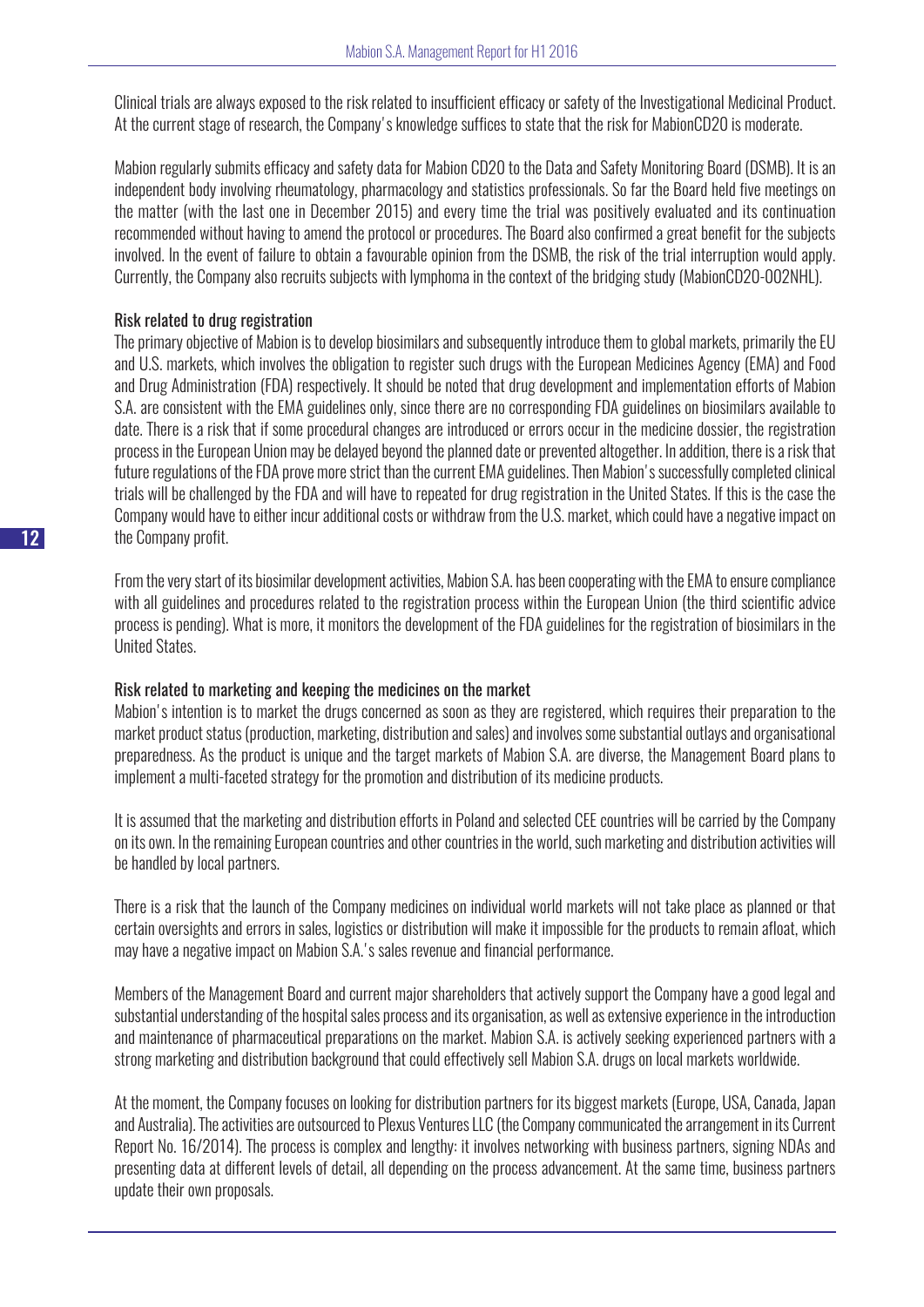Clinical trials are always exposed to the risk related to insufficient efficacy or safety of the Investigational Medicinal Product. At the current stage of research, the Company's knowledge suffices to state that the risk for MabionCD20 is moderate.

Mabion regularly submits efficacy and safety data for Mabion CD20 to the Data and Safety Monitoring Board (DSMB). It is an independent body involving rheumatology, pharmacology and statistics professionals. So far the Board held five meetings on the matter (with the last one in December 2015) and every time the trial was positively evaluated and its continuation recommended without having to amend the protocol or procedures. The Board also confirmed a great benefit for the subjects involved. In the event of failure to obtain a favourable opinion from the DSMB, the risk of the trial interruption would apply. Currently, the Company also recruits subjects with lymphoma in the context of the bridging study (MabionCD20-002NHL).

#### Risk related to drug registration

The primary objective of Mabion is to develop biosimilars and subsequently introduce them to global markets, primarily the EU and U.S. markets, which involves the obligation to register such drugs with the European Medicines Agency (EMA) and Food and Drug Administration (FDA) respectively. It should be noted that drug development and implementation efforts of Mabion S.A. are consistent with the EMA guidelines only, since there are no corresponding FDA guidelines on biosimilars available to date. There is a risk that if some procedural changes are introduced or errors occur in the medicine dossier, the registration process in the European Union may be delayed beyond the planned date or prevented altogether. In addition, there is a risk that future regulations of the FDA prove more strict than the current EMA guidelines. Then Mabion's successfully completed clinical trials will be challenged by the FDA and will have to repeated for drug registration in the United States. If this is the case the Company would have to either incur additional costs or withdraw from the U.S. market, which could have a negative impact on the Company profit.

From the very start of its biosimilar development activities, Mabion S.A. has been cooperating with the EMA to ensure compliance with all guidelines and procedures related to the registration process within the European Union (the third scientific advice process is pending). What is more, it monitors the development of the FDA guidelines for the registration of biosimilars in the United States.

#### Risk related to marketing and keeping the medicines on the market

Mabion's intention is to market the drugs concerned as soon as they are registered, which requires their preparation to the market product status (production, marketing, distribution and sales) and involves some substantial outlays and organisational preparedness. As the product is unique and the target markets of Mabion S.A. are diverse, the Management Board plans to implement a multi-faceted strategy for the promotion and distribution of its medicine products.

It is assumed that the marketing and distribution efforts in Poland and selected CEE countries will be carried by the Company on its own. In the remaining European countries and other countries in the world, such marketing and distribution activities will be handled by local partners.

There is a risk that the launch of the Company medicines on individual world markets will not take place as planned or that certain oversights and errors in sales, logistics or distribution will make it impossible for the products to remain afloat, which may have a negative impact on Mabion S.A.'s sales revenue and financial performance.

Members of the Management Board and current major shareholders that actively support the Company have a good legal and substantial understanding of the hospital sales process and its organisation, as well as extensive experience in the introduction and maintenance of pharmaceutical preparations on the market. Mabion S.A. is actively seeking experienced partners with a strong marketing and distribution background that could effectively sell Mabion S.A. drugs on local markets worldwide.

At the moment, the Company focuses on looking for distribution partners for its biggest markets (Europe, USA, Canada, Japan and Australia). The activities are outsourced to Plexus Ventures LLC (the Company communicated the arrangement in its Current Report No. 16/2014). The process is complex and lengthy: it involves networking with business partners, signing NDAs and presenting data at different levels of detail, all depending on the process advancement. At the same time, business partners update their own proposals.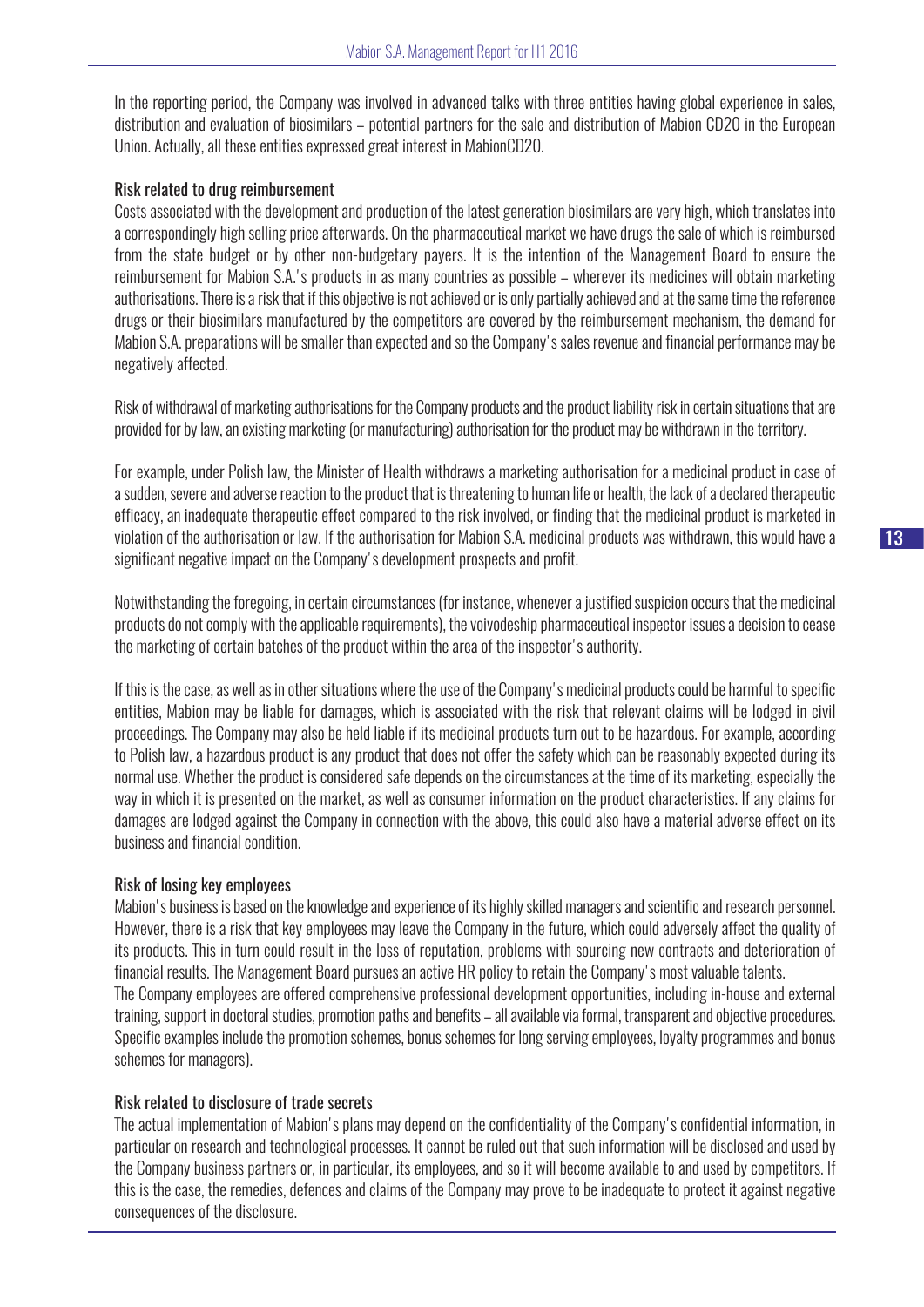In the reporting period, the Company was involved in advanced talks with three entities having global experience in sales, distribution and evaluation of biosimilars – potential partners for the sale and distribution of Mabion CD20 in the European Union. Actually, all these entities expressed great interest in MabionCD20.

#### Risk related to drug reimbursement

Costs associated with the development and production of the latest generation biosimilars are very high, which translates into a correspondingly high selling price afterwards. On the pharmaceutical market we have drugs the sale of which is reimbursed from the state budget or by other non-budgetary payers. It is the intention of the Management Board to ensure the reimbursement for Mabion S.A.'s products in as many countries as possible – wherever its medicines will obtain marketing authorisations. There is a risk that if this objective is not achieved or is only partially achieved and at the same time the reference drugs or their biosimilars manufactured by the competitors are covered by the reimbursement mechanism, the demand for Mabion S.A. preparations will be smaller than expected and so the Company's sales revenue and financial performance may be negatively affected.

Risk of withdrawal of marketing authorisations for the Company products and the product liability risk in certain situations that are provided for by law, an existing marketing (or manufacturing) authorisation for the product may be withdrawn in the territory.

For example, under Polish law, the Minister of Health withdraws a marketing authorisation for a medicinal product in case of a sudden, severe and adverse reaction to the product that is threatening to human life or health, the lack of a declared therapeutic efficacy, an inadequate therapeutic effect compared to the risk involved, or finding that the medicinal product is marketed in violation of the authorisation or law. If the authorisation for Mabion S.A. medicinal products was withdrawn, this would have a significant negative impact on the Company's development prospects and profit.

Notwithstanding the foregoing, in certain circumstances (for instance, whenever a justified suspicion occurs that the medicinal products do not comply with the applicable requirements), the voivodeship pharmaceutical inspector issues a decision to cease the marketing of certain batches of the product within the area of the inspector's authority.

If this is the case, as well as in other situations where the use of the Company's medicinal products could be harmful to specific entities, Mabion may be liable for damages, which is associated with the risk that relevant claims will be lodged in civil proceedings. The Company may also be held liable if its medicinal products turn out to be hazardous. For example, according to Polish law, a hazardous product is any product that does not offer the safety which can be reasonably expected during its normal use. Whether the product is considered safe depends on the circumstances at the time of its marketing, especially the way in which it is presented on the market, as well as consumer information on the product characteristics. If any claims for damages are lodged against the Company in connection with the above, this could also have a material adverse effect on its business and financial condition.

#### Risk of losing key employees

Mabion's business is based on the knowledge and experience of its highly skilled managers and scientific and research personnel. However, there is a risk that key employees may leave the Company in the future, which could adversely affect the quality of its products. This in turn could result in the loss of reputation, problems with sourcing new contracts and deterioration of financial results. The Management Board pursues an active HR policy to retain the Company's most valuable talents. The Company employees are offered comprehensive professional development opportunities, including in-house and external training, support in doctoral studies, promotion paths and benefits – all available via formal, transparent and objective procedures. Specific examples include the promotion schemes, bonus schemes for long serving employees, loyalty programmes and bonus schemes for managers).

#### Risk related to disclosure of trade secrets

The actual implementation of Mabion's plans may depend on the confidentiality of the Company's confidential information, in particular on research and technological processes. It cannot be ruled out that such information will be disclosed and used by the Company business partners or, in particular, its employees, and so it will become available to and used by competitors. If this is the case, the remedies, defences and claims of the Company may prove to be inadequate to protect it against negative consequences of the disclosure.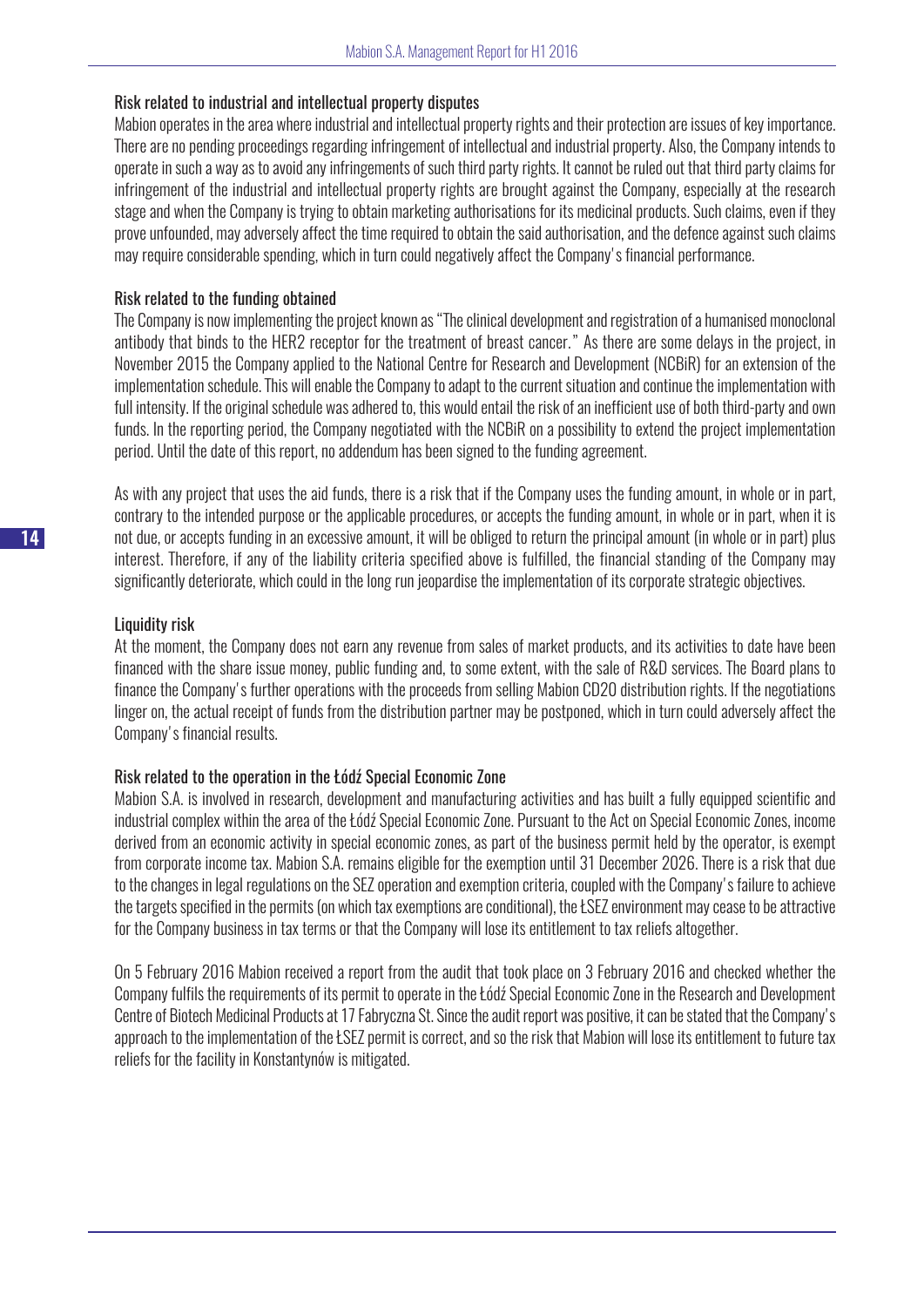#### Risk related to industrial and intellectual property disputes

Mabion operates in the area where industrial and intellectual property rights and their protection are issues of key importance. There are no pending proceedings regarding infringement of intellectual and industrial property. Also, the Company intends to operate in such a way as to avoid any infringements of such third party rights. It cannot be ruled out that third party claims for infringement of the industrial and intellectual property rights are brought against the Company, especially at the research stage and when the Company is trying to obtain marketing authorisations for its medicinal products. Such claims, even if they prove unfounded, may adversely affect the time required to obtain the said authorisation, and the defence against such claims may require considerable spending, which in turn could negatively affect the Company's financial performance.

#### Risk related to the funding obtained

The Company is now implementing the project known as "The clinical development and registration of a humanised monoclonal antibody that binds to the HER2 receptor for the treatment of breast cancer." As there are some delays in the project, in November 2015 the Company applied to the National Centre for Research and Development (NCBiR) for an extension of the implementation schedule. This will enable the Company to adapt to the current situation and continue the implementation with full intensity. If the original schedule was adhered to, this would entail the risk of an inefficient use of both third-party and own funds. In the reporting period, the Company negotiated with the NCBiR on a possibility to extend the project implementation period. Until the date of this report, no addendum has been signed to the funding agreement.

As with any project that uses the aid funds, there is a risk that if the Company uses the funding amount, in whole or in part, contrary to the intended purpose or the applicable procedures, or accepts the funding amount, in whole or in part, when it is not due, or accepts funding in an excessive amount, it will be obliged to return the principal amount (in whole or in part) plus interest. Therefore, if any of the liability criteria specified above is fulfilled, the financial standing of the Company may significantly deteriorate, which could in the long run jeopardise the implementation of its corporate strategic objectives.

#### Liquidity risk

At the moment, the Company does not earn any revenue from sales of market products, and its activities to date have been financed with the share issue money, public funding and, to some extent, with the sale of R&D services. The Board plans to finance the Company's further operations with the proceeds from selling Mabion CD20 distribution rights. If the negotiations linger on, the actual receipt of funds from the distribution partner may be postponed, which in turn could adversely affect the Company's financial results.

#### Risk related to the operation in the Łódź Special Economic Zone

Mabion S.A. is involved in research, development and manufacturing activities and has built a fully equipped scientific and industrial complex within the area of the Łódź Special Economic Zone. Pursuant to the Act on Special Economic Zones, income derived from an economic activity in special economic zones, as part of the business permit held by the operator, is exempt from corporate income tax. Mabion S.A. remains eligible for the exemption until 31 December 2026. There is a risk that due to the changes in legal regulations on the SEZ operation and exemption criteria, coupled with the Company's failure to achieve the targets specified in the permits (on which tax exemptions are conditional), the ŁSEZ environment may cease to be attractive for the Company business in tax terms or that the Company will lose its entitlement to tax reliefs altogether.

On 5 February 2016 Mabion received a report from the audit that took place on 3 February 2016 and checked whether the Company fulfils the requirements of its permit to operate in the Łódź Special Economic Zone in the Research and Development Centre of Biotech Medicinal Products at 17 Fabryczna St. Since the audit report was positive, it can be stated that the Company's approach to the implementation of the ŁSEZ permit is correct, and so the risk that Mabion will lose its entitlement to future tax reliefs for the facility in Konstantynów is mitigated.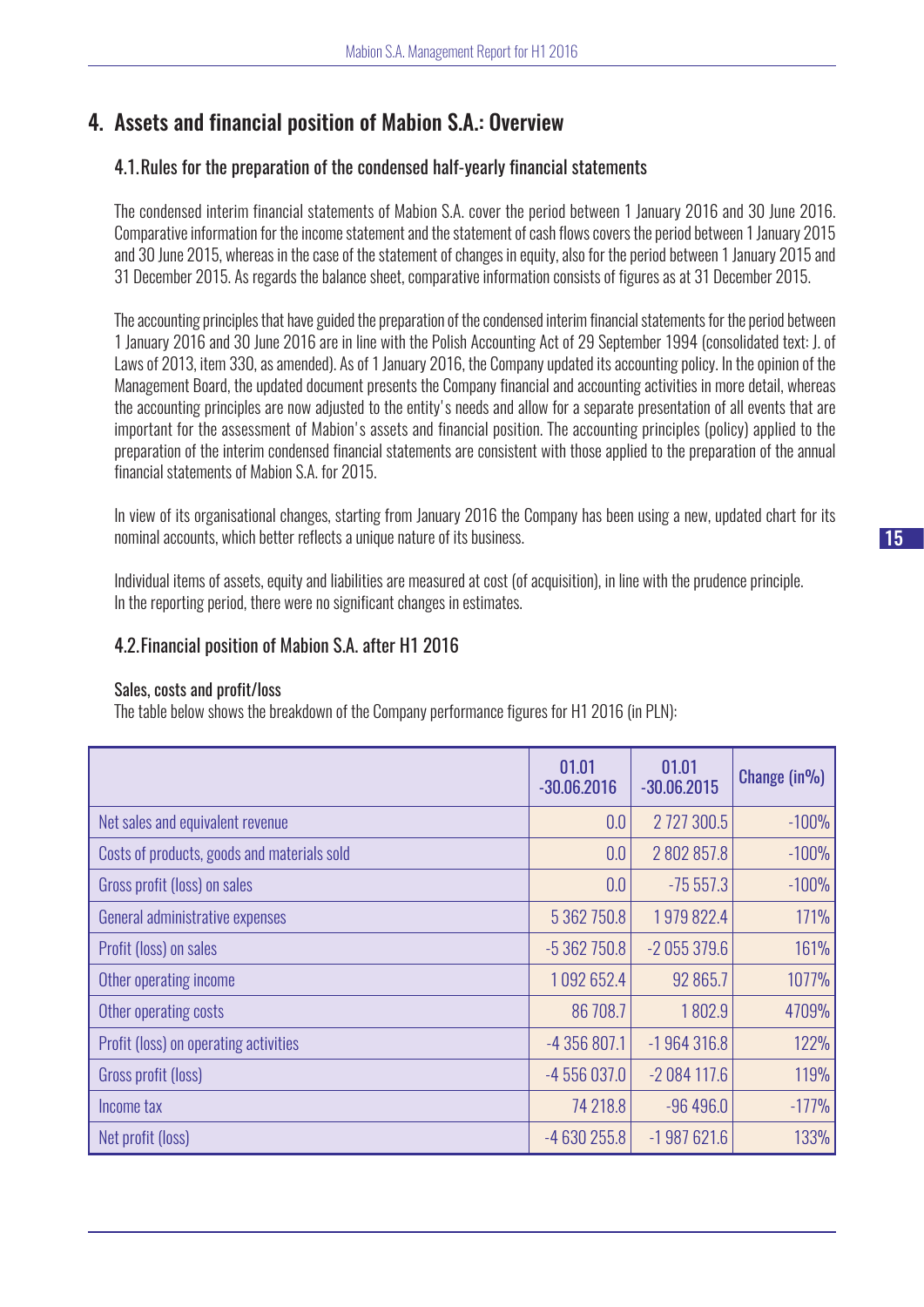# 4. Assets and financial position of Mabion S.A.: Overview

# 4.1.Rules for the preparation of the condensed half-yearly financial statements

The condensed interim financial statements of Mabion S.A. cover the period between 1 January 2016 and 30 June 2016. Comparative information for the income statement and the statement of cash flows covers the period between 1 January 2015 and 30 June 2015, whereas in the case of the statement of changes in equity, also for the period between 1 January 2015 and 31 December 2015. As regards the balance sheet, comparative information consists of figures as at 31 December 2015.

The accounting principles that have guided the preparation of the condensed interim financial statements for the period between 1 January 2016 and 30 June 2016 are in line with the Polish Accounting Act of 29 September 1994 (consolidated text: J. of Laws of 2013, item 330, as amended). As of 1 January 2016, the Company updated its accounting policy. In the opinion of the Management Board, the updated document presents the Company financial and accounting activities in more detail, whereas the accounting principles are now adjusted to the entity's needs and allow for a separate presentation of all events that are important for the assessment of Mabion's assets and financial position. The accounting principles (policy) applied to the preparation of the interim condensed financial statements are consistent with those applied to the preparation of the annual financial statements of Mabion S.A. for 2015.

In view of its organisational changes, starting from January 2016 the Company has been using a new, updated chart for its nominal accounts, which better reflects a unique nature of its business.

Individual items of assets, equity and liabilities are measured at cost (of acquisition), in line with the prudence principle. In the reporting period, there were no significant changes in estimates.

# 4.2.Financial position of Mabion S.A. after H1 2016

## Sales, costs and profit/loss

The table below shows the breakdown of the Company performance figures for H1 2016 (in PLN):

|                                             | 01.01<br>$-30.06.2016$ | 01.01<br>$-30.06.2015$ | Change (in%) |
|---------------------------------------------|------------------------|------------------------|--------------|
| Net sales and equivalent revenue            | 0.0                    | 2 727 300.5            | $-100%$      |
| Costs of products, goods and materials sold | 0.0                    | 2802857.8              | $-100%$      |
| Gross profit (loss) on sales                | 0.0                    | $-75557.3$             | $-100%$      |
| General administrative expenses             | 5 362 750.8            | 1979822.4              | 171%         |
| Profit (loss) on sales                      | $-5362750.8$           | $-2055379.6$           | 161%         |
| Other operating income                      | 1092652.4              | 92 865.7               | 1077%        |
| Other operating costs                       | 86 708.7               | 1802.9                 | 4709%        |
| Profit (loss) on operating activities       | $-4356807.1$           | $-1964316.8$           | 122%         |
| Gross profit (loss)                         | $-4556037.0$           | $-2084117.6$           | 119%         |
| Income tax                                  | 74 218.8               | $-96496.0$             | $-177%$      |
| Net profit (loss)                           | -4 630 255.8           | $-1987621.6$           | 133%         |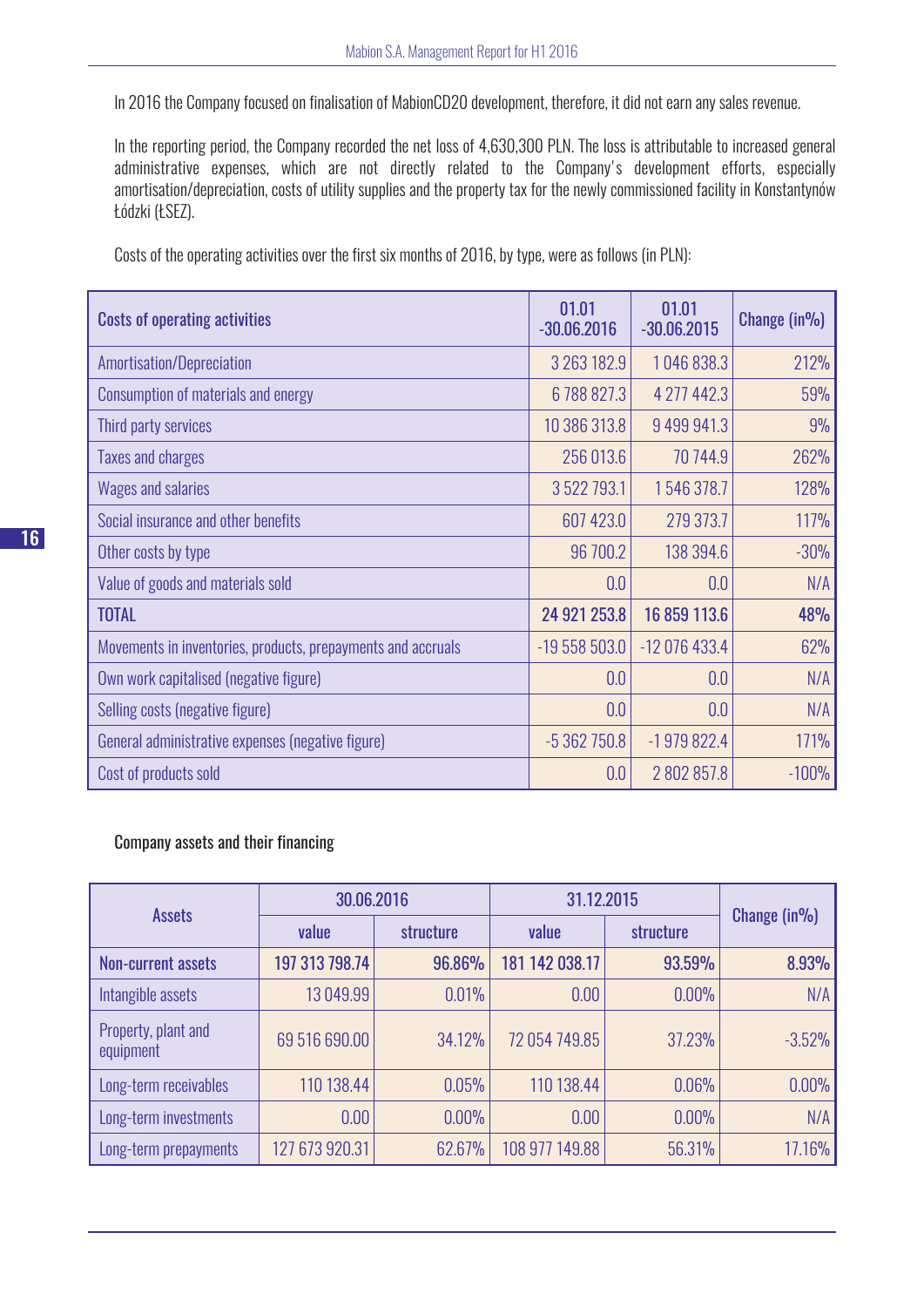In 2016 the Company focused on finalisation of MabionCD20 development, therefore, it did not earn any sales revenue.

In the reporting period, the Company recorded the net loss of 4,630,300 PLN. The loss is attributable to increased general administrative expenses, which are not directly related to the Company's development efforts, especially amortisation/depreciation, costs of utility supplies and the property tax for the newly commissioned facility in Konstantynów Łódzki (ŁSEZ).

Costs of the operating activities over the first six months of 2016, by type, were as follows (in PLN):

| <b>Costs of operating activities</b>                         | 01.01<br>$-30.06.2016$ | 01.01<br>$-30.06.2015$ | Change (in%) |
|--------------------------------------------------------------|------------------------|------------------------|--------------|
| <b>Amortisation/Depreciation</b>                             | 3 263 182.9            | 1046838.3              | 212%         |
| Consumption of materials and energy                          | 6 788 827.3            | 4 277 442.3            | 59%          |
| Third party services                                         | 10 386 313.8           | 9499941.3              | 9%           |
| <b>Taxes and charges</b>                                     | 256 013.6              | 70 744.9               | 262%         |
| <b>Wages and salaries</b>                                    | 3 522 793.1            | 1546378.7              | 128%         |
| Social insurance and other benefits                          | 607 423.0              | 279 373.7              | 117%         |
| Other costs by type                                          | 96 700.2               | 138 394.6              | $-30%$       |
| Value of goods and materials sold                            | 0.0                    | 0.0                    | N/A          |
| <b>TOTAL</b>                                                 | 24 921 253.8           | 16 859 113.6           | 48%          |
| Movements in inventories, products, prepayments and accruals | $-19558503.0$          | $-12076433.4$          | 62%          |
| Own work capitalised (negative figure)                       | 0.0                    | 0.0                    | N/A          |
| Selling costs (negative figure)                              | 0.0                    | 0.0                    | N/A          |
| General administrative expenses (negative figure)            | $-5362750.8$           | $-1979822.4$           | 171%         |
| Cost of products sold                                        | 0.0                    | 2 802 857.8            | $-100%$      |

#### Company assets and their financing

| <b>Assets</b>                    | 30.06.2016     |                  | 31.12.2015     |                  |              |
|----------------------------------|----------------|------------------|----------------|------------------|--------------|
|                                  | value          | <b>structure</b> | value          | <b>structure</b> | Change (in%) |
| <b>Non-current assets</b>        | 197 313 798.74 | 96.86%           | 181 142 038.17 | 93.59%           | 8.93%        |
| Intangible assets                | 13 049.99      | 0.01%            | 0.00           | 0.00%            | N/A          |
| Property, plant and<br>equipment | 69 516 690.00  | 34.12%           | 72 054 749.85  | 37.23%           | $-3.52%$     |
| Long-term receivables            | 110 138.44     | 0.05%            | 110 138.44     | 0.06%            | 0.00%        |
| Long-term investments            | 0.00           | 0.00%            | 0.00           | $0.00\%$         | N/A          |
| Long-term prepayments            | 127 673 920.31 | 62.67%           | 108 977 149.88 | 56.31%           | 17.16%       |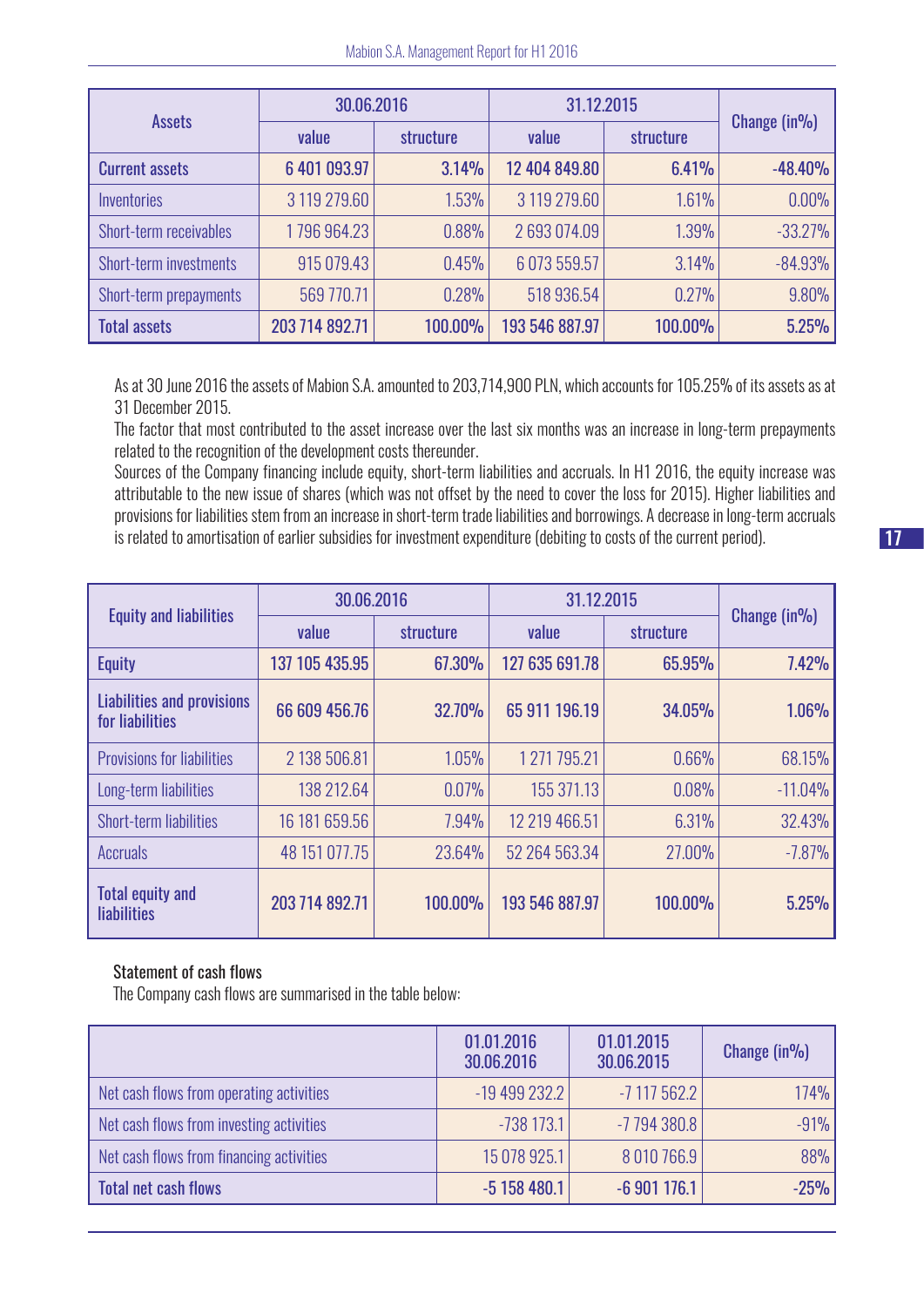|                               | 30.06.2016     |           | 31.12.2015     |                  |              |
|-------------------------------|----------------|-----------|----------------|------------------|--------------|
| <b>Assets</b>                 | value          | structure | value          | <b>structure</b> | Change (in%) |
| <b>Current assets</b>         | 6 401 093.97   | 3.14%     | 12 404 849.80  | 6.41%            | $-48.40%$    |
| Inventories                   | 3 119 279.60   | 1.53%     | 3 119 279.60   | 1.61%            | $0.00\%$     |
| Short-term receivables        | 1 796 964.23   | 0.88%     | 2 693 074.09   | 1.39%            | $-33.27%$    |
| <b>Short-term investments</b> | 915 079.43     | 0.45%     | 6 073 559.57   | 3.14%            | $-84.93\%$   |
| Short-term prepayments        | 569 770.71     | 0.28%     | 518 936.54     | 0.27%            | $9.80\%$     |
| <b>Total assets</b>           | 203 714 892.71 | 100.00%   | 193 546 887.97 | 100.00%          | 5.25%        |

As at 30 June 2016 the assets of Mabion S.A. amounted to 203,714,900 PLN, which accounts for 105.25% of its assets as at 31 December 2015.

The factor that most contributed to the asset increase over the last six months was an increase in long-term prepayments related to the recognition of the development costs thereunder.

Sources of the Company financing include equity, short-term liabilities and accruals. In H1 2016, the equity increase was attributable to the new issue of shares (which was not offset by the need to cover the loss for 2015). Higher liabilities and provisions for liabilities stem from an increase in short-term trade liabilities and borrowings. A decrease in long-term accruals is related to amortisation of earlier subsidies for investment expenditure (debiting to costs of the current period).

| <b>Equity and liabilities</b>                        | 30.06.2016     |                  | 31.12.2015     | Change (in%) |           |
|------------------------------------------------------|----------------|------------------|----------------|--------------|-----------|
|                                                      | value          | <b>structure</b> | value          | structure    |           |
| <b>Equity</b>                                        | 137 105 435.95 | 67.30%           | 127 635 691.78 | 65.95%       | 7.42%     |
| <b>Liabilities and provisions</b><br>for liabilities | 66 609 456.76  | 32.70%           | 65 911 196.19  | 34.05%       | 1.06%     |
| <b>Provisions for liabilities</b>                    | 2 138 506.81   | 1.05%            | 1 271 795.21   | 0.66%        | 68.15%    |
| Long-term liabilities                                | 138 212.64     | 0.07%            | 155 371.13     | 0.08%        | $-11.04%$ |
| <b>Short-term liabilities</b>                        | 16 181 659.56  | 7.94%            | 12 219 466.51  | 6.31%        | 32.43%    |
| <b>Accruals</b>                                      | 48 151 077.75  | 23.64%           | 52 264 563.34  | 27.00%       | $-7.87%$  |
| <b>Total equity and</b><br><b>liabilities</b>        | 203 714 892.71 | 100.00%          | 193 546 887.97 | 100.00%      | 5.25%     |

## Statement of cash flows

The Company cash flows are summarised in the table below:

|                                          | 01.01.2016<br>30.06.2016 | 01.01.2015<br>30.06.2015 | Change (in%) |
|------------------------------------------|--------------------------|--------------------------|--------------|
| Net cash flows from operating activities | $-19499232.2$            | $-7$ 117 562.2           | 174%         |
| Net cash flows from investing activities | $-738$ 173.1             | $-7794380.8$             | $-91%$       |
| Net cash flows from financing activities | 15 078 925.1             | 8 010 766.9              | 88%          |
| <b>Total net cash flows</b>              | $-5158480.1$             | $-6901176.1$             | $-25%$       |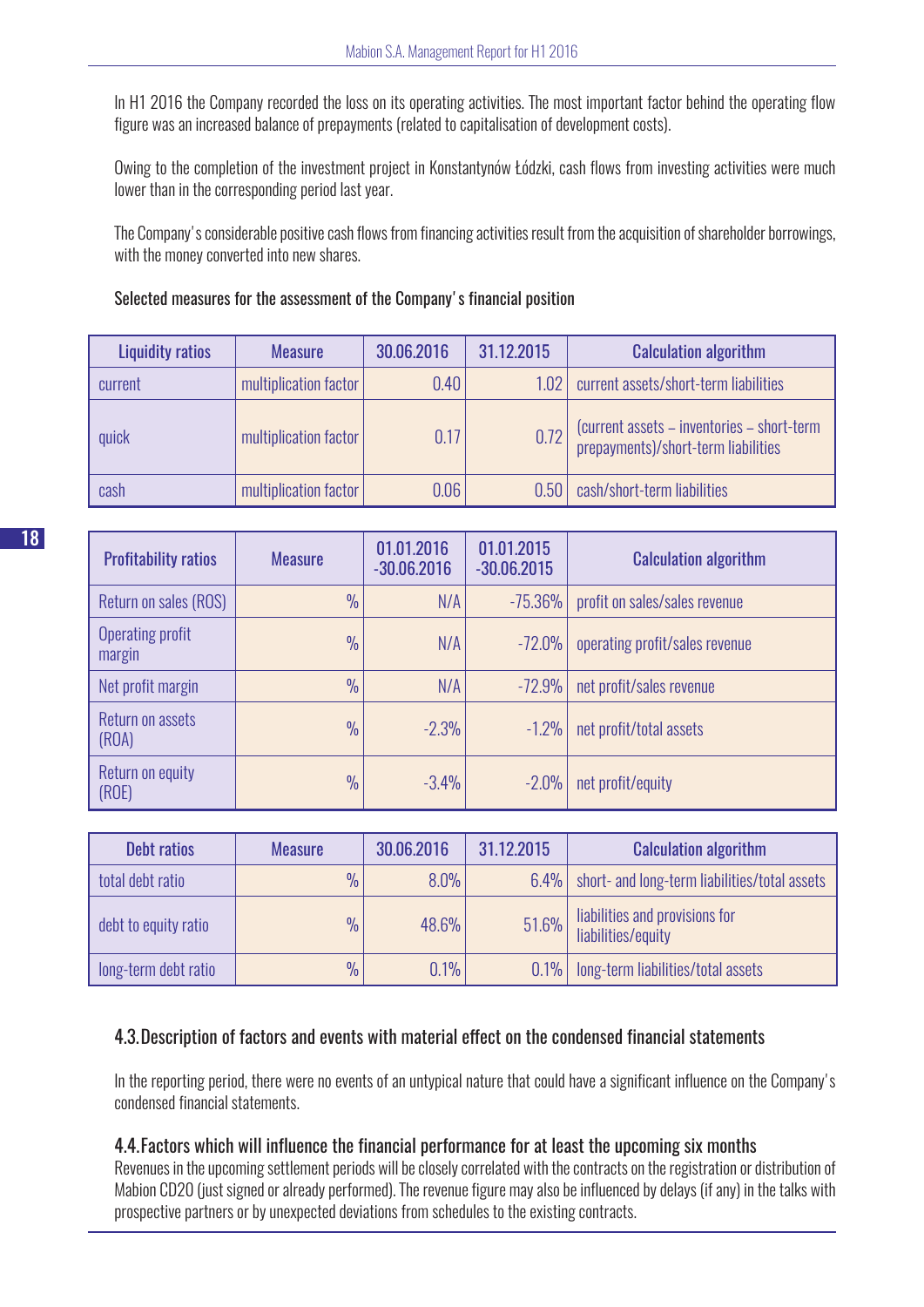In H1 2016 the Company recorded the loss on its operating activities. The most important factor behind the operating flow figure was an increased balance of prepayments (related to capitalisation of development costs).

Owing to the completion of the investment project in Konstantynów Łódzki, cash flows from investing activities were much lower than in the corresponding period last year.

The Company's considerable positive cash flows from financing activities result from the acquisition of shareholder borrowings, with the money converted into new shares.

#### Selected measures for the assessment of the Company's financial position

| <b>Liquidity ratios</b> | <b>Measure</b>        | 30.06.2016 | 31.12.2015 | <b>Calculation algorithm</b>                                                      |
|-------------------------|-----------------------|------------|------------|-----------------------------------------------------------------------------------|
| current                 | multiplication factor | 0.40       | 1.02       | current assets/short-term liabilities                                             |
| quick                   | multiplication factor | 0.17       | 0.72       | (current assets – inventories – short-term<br>prepayments)/short-term liabilities |
| cash                    | multiplication factor | 0.06       | 0.50       | cash/short-term liabilities                                                       |

| <b>Profitability ratios</b> | <b>Measure</b> | 01.01.2016<br>$-30.06.2016$ | 01.01.2015<br>$-30.06.2015$ | <b>Calculation algorithm</b>   |
|-----------------------------|----------------|-----------------------------|-----------------------------|--------------------------------|
| Return on sales (ROS)       | $\frac{0}{0}$  | N/A                         | $-75.36\%$                  | profit on sales/sales revenue  |
| Operating profit<br>margin  | $\frac{0}{0}$  | N/A                         | $-72.0\%$                   | operating profit/sales revenue |
| Net profit margin           | $\frac{0}{0}$  | N/A                         | $-72.9%$                    | net profit/sales revenue       |
| Return on assets<br>(ROA)   | $\frac{0}{0}$  | $-2.3%$                     | $-1.2%$                     | net profit/total assets        |
| Return on equity<br>(ROE)   | $\frac{0}{0}$  | $-3.4\%$                    | $-2.0\%$                    | net profit/equity              |

| Debt ratios          | <b>Measure</b> | 30.06.2016 | 31.12.2015 | <b>Calculation algorithm</b>                         |
|----------------------|----------------|------------|------------|------------------------------------------------------|
| total debt ratio     | $\frac{0}{0}$  | 8.0%       | $6.4\%$    | short- and long-term liabilities/total assets        |
| debt to equity ratio | $\frac{0}{0}$  | 48.6%      | $51.6\%$   | liabilities and provisions for<br>liabilities/equity |
| long-term debt ratio | $\frac{0}{0}$  | 0.1%       | $0.1\%$    | long-term liabilities/total assets                   |

# 4.3.Description of factors and events with material effect on the condensed financial statements

In the reporting period, there were no events of an untypical nature that could have a significant influence on the Company's condensed financial statements.

# 4.4.Factors which will influence the financial performance for at least the upcoming six months

Revenues in the upcoming settlement periods will be closely correlated with the contracts on the registration or distribution of Mabion CD20 (just signed or already performed). The revenue figure may also be influenced by delays (if any) in the talks with prospective partners or by unexpected deviations from schedules to the existing contracts.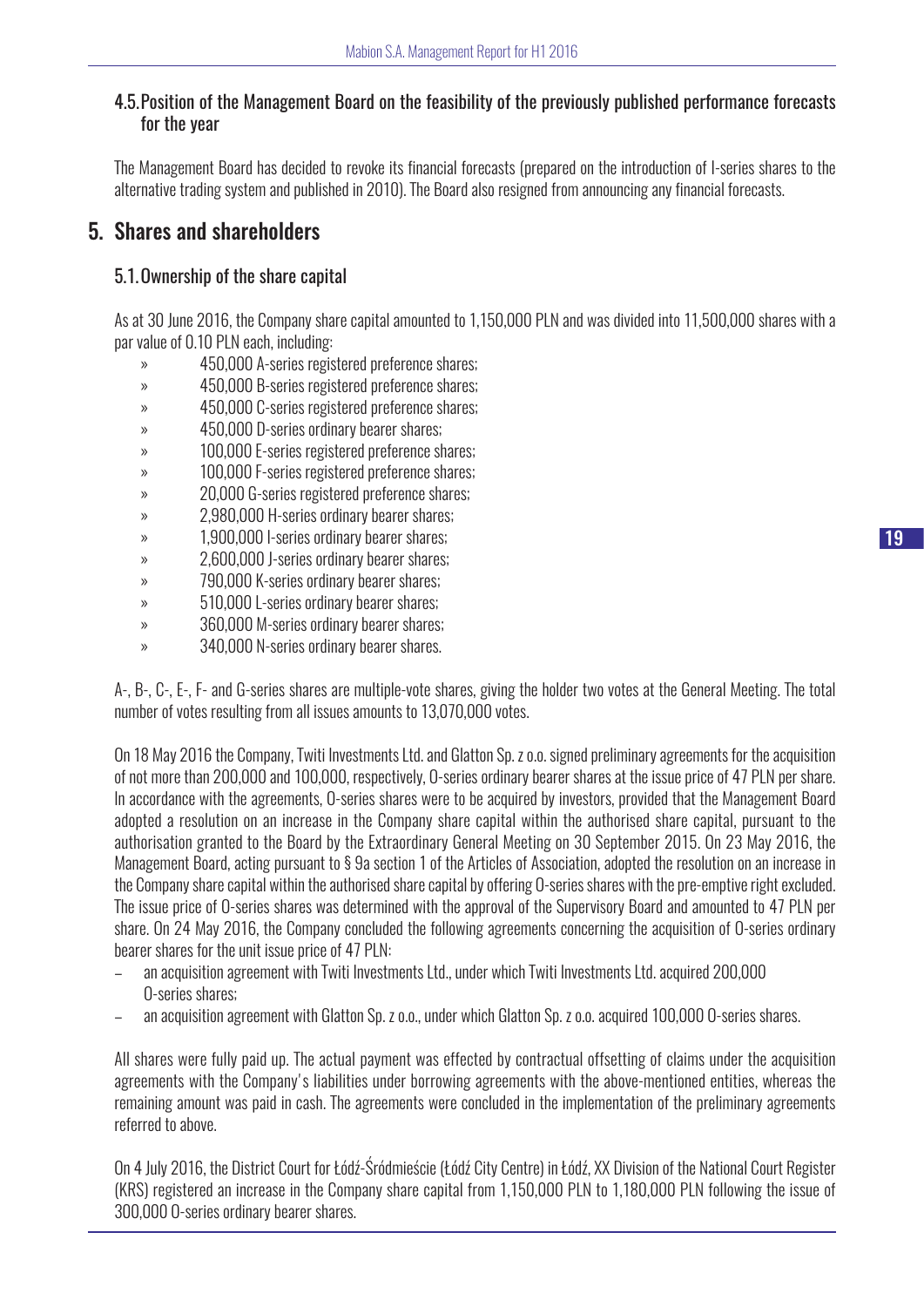# 4.5.Position of the Management Board on the feasibility of the previously published performance forecasts for the year

The Management Board has decided to revoke its financial forecasts (prepared on the introduction of I-series shares to the alternative trading system and published in 2010). The Board also resigned from announcing any financial forecasts.

# 5. Shares and shareholders

# 5.1.Ownership of the share capital

As at 30 June 2016, the Company share capital amounted to 1,150,000 PLN and was divided into 11,500,000 shares with a par value of 0.10 PLN each, including:

- » 450,000 A-series registered preference shares;
- » 450,000 B-series registered preference shares;
- » 450,000 C-series registered preference shares;
- » 450,000 D-series ordinary bearer shares;
- » 100,000 E-series registered preference shares;
- » 100,000 F-series registered preference shares;
- » 20,000 G-series registered preference shares;
- » 2,980,000 H-series ordinary bearer shares;
- » 1,900,000 I-series ordinary bearer shares;
- » 2,600,000 J-series ordinary bearer shares;
- » 790,000 K-series ordinary bearer shares;
- » 510,000 L-series ordinary bearer shares;
- » 360,000 M-series ordinary bearer shares;
- » 340,000 N-series ordinary bearer shares.

A-, B-, C-, E-, F- and G-series shares are multiple-vote shares, giving the holder two votes at the General Meeting. The total number of votes resulting from all issues amounts to 13,070,000 votes.

On 18 May 2016 the Company, Twiti Investments Ltd. and Glatton Sp. z o.o. signed preliminary agreements for the acquisition of not more than 200,000 and 100,000, respectively, O-series ordinary bearer shares at the issue price of 47 PLN per share. In accordance with the agreements, O-series shares were to be acquired by investors, provided that the Management Board adopted a resolution on an increase in the Company share capital within the authorised share capital, pursuant to the authorisation granted to the Board by the Extraordinary General Meeting on 30 September 2015. On 23 May 2016, the Management Board, acting pursuant to § 9a section 1 of the Articles of Association, adopted the resolution on an increase in the Company share capital within the authorised share capital by offering O-series shares with the pre-emptive right excluded. The issue price of O-series shares was determined with the approval of the Supervisory Board and amounted to 47 PLN per share. On 24 May 2016, the Company concluded the following agreements concerning the acquisition of O-series ordinary bearer shares for the unit issue price of 47 PLN:

- an acquisition agreement with Twiti Investments Ltd., under which Twiti Investments Ltd. acquired 200,000 O-series shares;
- an acquisition agreement with Glatton Sp. z o.o., under which Glatton Sp. z o.o. acquired 100,000 O-series shares.

All shares were fully paid up. The actual payment was effected by contractual offsetting of claims under the acquisition agreements with the Company's liabilities under borrowing agreements with the above-mentioned entities, whereas the remaining amount was paid in cash. The agreements were concluded in the implementation of the preliminary agreements referred to above.

On 4 July 2016, the District Court for Łódź-Śródmieście (Łódź City Centre) in Łódź, XX Division of the National Court Register (KRS) registered an increase in the Company share capital from 1,150,000 PLN to 1,180,000 PLN following the issue of 300,000 O-series ordinary bearer shares.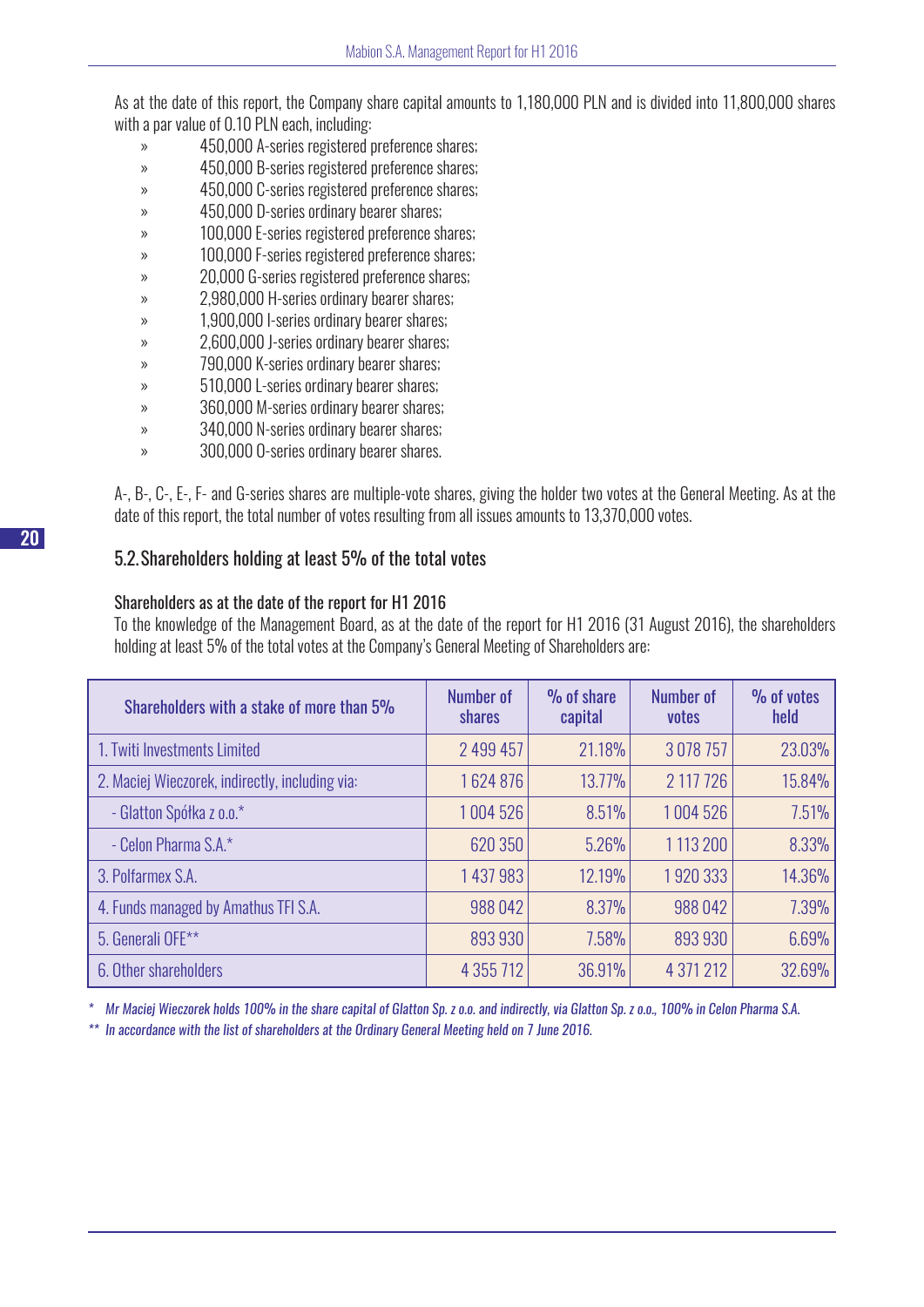As at the date of this report, the Company share capital amounts to 1,180,000 PLN and is divided into 11,800,000 shares with a par value of 0.10 PLN each, including:

- » 450,000 A-series registered preference shares;
- » 450,000 B-series registered preference shares;
- » 450,000 C-series registered preference shares;
- » 450,000 D-series ordinary bearer shares;
- » 100,000 E-series registered preference shares;
- » 100,000 F-series registered preference shares;
- » 20,000 G-series registered preference shares;
- » 2,980,000 H-series ordinary bearer shares;
- » 1,900,000 I-series ordinary bearer shares;
- » 2,600,000 J-series ordinary bearer shares;
- » 790,000 K-series ordinary bearer shares;
- » 510,000 L-series ordinary bearer shares;
- » 360,000 M-series ordinary bearer shares;
- » 340,000 N-series ordinary bearer shares;
- » 300,000 O-series ordinary bearer shares.

A-, B-, C-, E-, F- and G-series shares are multiple-vote shares, giving the holder two votes at the General Meeting. As at the date of this report, the total number of votes resulting from all issues amounts to 13,370,000 votes.

# 5.2.Shareholders holding at least 5% of the total votes

#### Shareholders as at the date of the report for H1 2016

To the knowledge of the Management Board, as at the date of the report for H1 2016 (31 August 2016), the shareholders holding at least 5% of the total votes at the Company's General Meeting of Shareholders are:

| Shareholders with a stake of more than 5%       | <b>Number of</b><br>shares | % of share<br>capital | Number of<br>votes | % of votes<br>held |
|-------------------------------------------------|----------------------------|-----------------------|--------------------|--------------------|
| 1. Twiti Investments Limited                    | 2 499 457                  | 21.18%                | 3078757            | 23.03%             |
| 2. Maciej Wieczorek, indirectly, including via: | 1624876                    | 13.77%                | 2 117 726          | 15.84%             |
| - Glatton Spółka z o.o.*                        | 1004526                    | 8.51%                 | 1004 526           | 7.51%              |
| - Celon Pharma S.A.*                            | 620 350                    | 5.26%                 | 1 113 200          | 8.33%              |
| 3. Polfarmex S.A.                               | 1437983                    | 12.19%                | 1920333            | 14.36%             |
| 4. Funds managed by Amathus TFI S.A.            | 988042                     | 8.37%                 | 988042             | 7.39%              |
| 5. Generali OFE**                               | 893930                     | 7.58%                 | 893 930            | 6.69%              |
| 6. Other shareholders                           | 4 3 5 7 1 2                | 36.91%                | 4 371 212          | 32.69%             |

*\* Mr Maciej Wieczorek holds 100% in the share capital of Glatton Sp. z o.o. and indirectly, via Glatton Sp. z o.o., 100% in Celon Pharma S.A.*

*\*\* In accordance with the list of shareholders at the Ordinary General Meeting held on 7 June 2016.*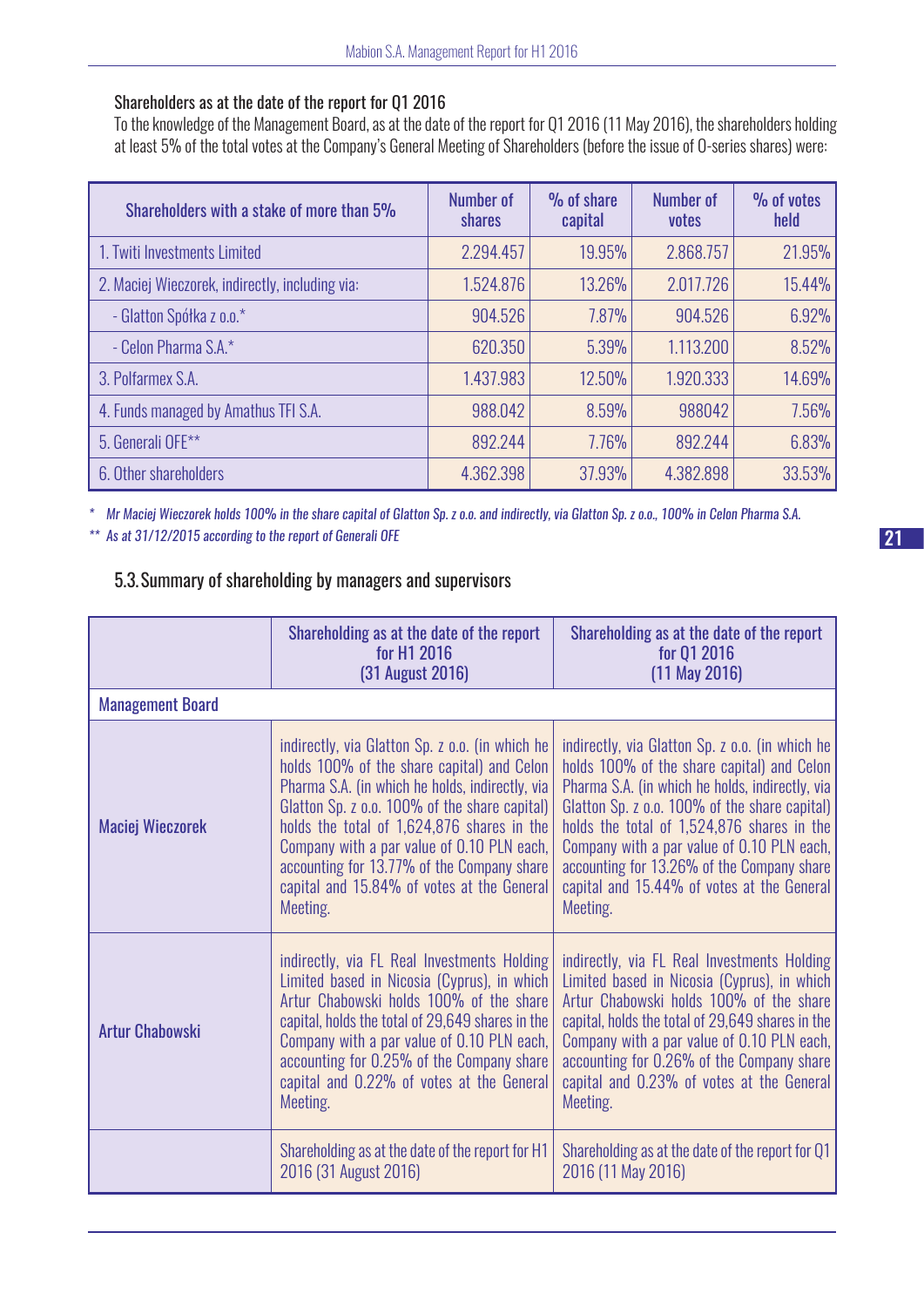#### Shareholders as at the date of the report for Q1 2016

To the knowledge of the Management Board, as at the date of the report for Q1 2016 (11 May 2016), the shareholders holding at least 5% of the total votes at the Company's General Meeting of Shareholders (before the issue of O-series shares) were:

| Shareholders with a stake of more than 5%       | <b>Number of</b><br>shares | % of share<br>capital | <b>Number of</b><br>votes | % of votes<br>held |
|-------------------------------------------------|----------------------------|-----------------------|---------------------------|--------------------|
| 1. Twiti Investments Limited                    | 2.294.457                  | 19.95%                | 2.868.757                 | 21.95%             |
| 2. Maciej Wieczorek, indirectly, including via: | 1.524.876                  | 13.26%                | 2.017.726                 | 15.44%             |
| - Glatton Spółka z o.o.*                        | 904.526                    | 7.87%                 | 904.526                   | 6.92%              |
| - Celon Pharma S.A.*                            | 620,350                    | 5.39%                 | 1.113.200                 | 8.52%              |
| 3. Polfarmex S.A.                               | 1.437.983                  | 12.50%                | 1.920.333                 | 14.69%             |
| 4. Funds managed by Amathus TFI S.A.            | 988.042                    | 8.59%                 | 988042                    | 7.56%              |
| 5. Generali OFE**                               | 892.244                    | 7.76%                 | 892.244                   | 6.83%              |
| 6. Other shareholders                           | 4.362.398                  | 37.93%                | 4.382.898                 | 33.53%             |

*\* Mr Maciej Wieczorek holds 100% in the share capital of Glatton Sp. z o.o. and indirectly, via Glatton Sp. z o.o., 100% in Celon Pharma S.A.*

*\*\* As at 31/12/2015 according to the report of Generali OFE*

# 5.3.Summary of shareholding by managers and supervisors

|                         | Shareholding as at the date of the report<br>for H1 2016<br>(31 August 2016)                                                                                                                                                                                                                                                                                                                          | Shareholding as at the date of the report<br>for Q1 2016<br>$(11$ May 2016)                                                                                                                                                                                                                                                                                                                           |
|-------------------------|-------------------------------------------------------------------------------------------------------------------------------------------------------------------------------------------------------------------------------------------------------------------------------------------------------------------------------------------------------------------------------------------------------|-------------------------------------------------------------------------------------------------------------------------------------------------------------------------------------------------------------------------------------------------------------------------------------------------------------------------------------------------------------------------------------------------------|
| <b>Management Board</b> |                                                                                                                                                                                                                                                                                                                                                                                                       |                                                                                                                                                                                                                                                                                                                                                                                                       |
| <b>Maciej Wieczorek</b> | indirectly, via Glatton Sp. z o.o. (in which he<br>holds 100% of the share capital) and Celon<br>Pharma S.A. (in which he holds, indirectly, via<br>Glatton Sp. z o.o. 100% of the share capital)<br>holds the total of 1,624,876 shares in the<br>Company with a par value of 0.10 PLN each,<br>accounting for 13.77% of the Company share<br>capital and 15.84% of votes at the General<br>Meeting. | indirectly, via Glatton Sp. z o.o. (in which he<br>holds 100% of the share capital) and Celon<br>Pharma S.A. (in which he holds, indirectly, via<br>Glatton Sp. z o.o. 100% of the share capital)<br>holds the total of 1,524,876 shares in the<br>Company with a par value of 0.10 PLN each,<br>accounting for 13.26% of the Company share<br>capital and 15.44% of votes at the General<br>Meeting. |
| <b>Artur Chabowski</b>  | indirectly, via FL Real Investments Holding<br>Limited based in Nicosia (Cyprus), in which<br>Artur Chabowski holds 100% of the share<br>capital, holds the total of 29,649 shares in the<br>Company with a par value of 0.10 PLN each,<br>accounting for 0.25% of the Company share<br>capital and 0.22% of votes at the General<br>Meeting.                                                         | indirectly, via FL Real Investments Holding<br>Limited based in Nicosia (Cyprus), in which<br>Artur Chabowski holds 100% of the share<br>capital, holds the total of 29,649 shares in the<br>Company with a par value of 0.10 PLN each,<br>accounting for 0.26% of the Company share<br>capital and 0.23% of votes at the General<br>Meeting.                                                         |
|                         | Shareholding as at the date of the report for H1<br>2016 (31 August 2016)                                                                                                                                                                                                                                                                                                                             | Shareholding as at the date of the report for Q1<br>2016 (11 May 2016)                                                                                                                                                                                                                                                                                                                                |

21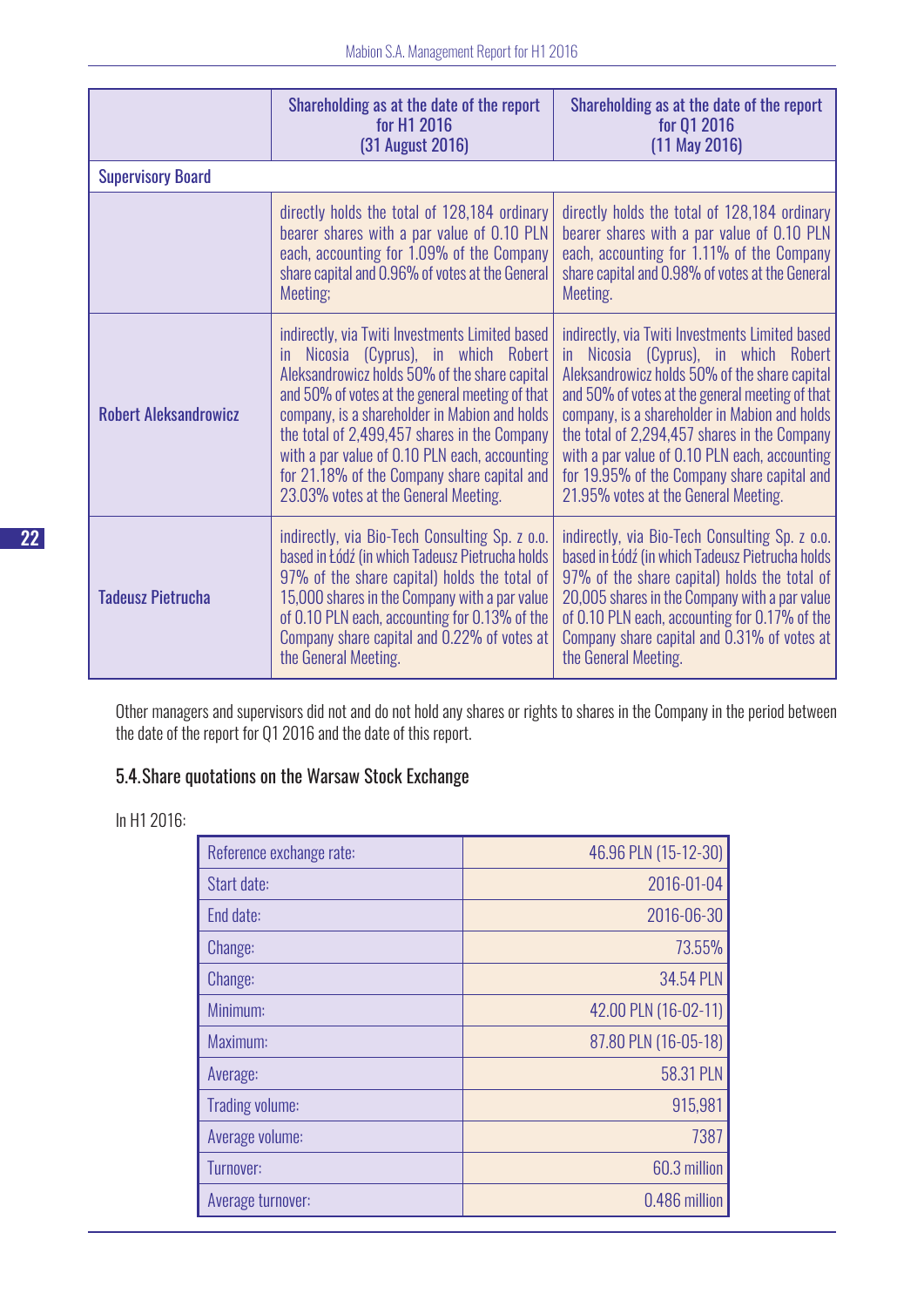|                              | Shareholding as at the date of the report<br>for H1 2016<br>(31 August 2016)                                                                                                                                                                                                                                                                                                                                                             | Shareholding as at the date of the report<br>for Q1 2016<br>$(11$ May 2016)                                                                                                                                                                                                                                                                                                                                                                        |
|------------------------------|------------------------------------------------------------------------------------------------------------------------------------------------------------------------------------------------------------------------------------------------------------------------------------------------------------------------------------------------------------------------------------------------------------------------------------------|----------------------------------------------------------------------------------------------------------------------------------------------------------------------------------------------------------------------------------------------------------------------------------------------------------------------------------------------------------------------------------------------------------------------------------------------------|
| <b>Supervisory Board</b>     |                                                                                                                                                                                                                                                                                                                                                                                                                                          |                                                                                                                                                                                                                                                                                                                                                                                                                                                    |
|                              | directly holds the total of 128,184 ordinary<br>bearer shares with a par value of 0.10 PLN<br>each, accounting for 1.09% of the Company<br>share capital and 0.96% of votes at the General<br>Meeting;                                                                                                                                                                                                                                   | directly holds the total of 128,184 ordinary<br>bearer shares with a par value of 0.10 PLN<br>each, accounting for 1.11% of the Company<br>share capital and 0.98% of votes at the General<br>Meeting.                                                                                                                                                                                                                                             |
| <b>Robert Aleksandrowicz</b> | indirectly, via Twiti Investments Limited based<br>Nicosia (Cyprus), in which Robert<br>in.<br>Aleksandrowicz holds 50% of the share capital<br>and 50% of votes at the general meeting of that<br>company, is a shareholder in Mabion and holds<br>the total of 2,499,457 shares in the Company<br>with a par value of 0.10 PLN each, accounting<br>for 21.18% of the Company share capital and<br>23.03% votes at the General Meeting. | indirectly, via Twiti Investments Limited based<br>Nicosia (Cyprus), in which Robert<br>$\mathsf{in}$<br>Aleksandrowicz holds 50% of the share capital<br>and 50% of votes at the general meeting of that<br>company, is a shareholder in Mabion and holds<br>the total of 2,294,457 shares in the Company<br>with a par value of 0.10 PLN each, accounting<br>for 19.95% of the Company share capital and<br>21.95% votes at the General Meeting. |
| <b>Tadeusz Pietrucha</b>     | indirectly, via Bio-Tech Consulting Sp. z o.o.<br>based in Łódź (in which Tadeusz Pietrucha holds<br>97% of the share capital) holds the total of<br>15,000 shares in the Company with a par value<br>of 0.10 PLN each, accounting for 0.13% of the<br>Company share capital and 0.22% of votes at<br>the General Meeting.                                                                                                               | indirectly, via Bio-Tech Consulting Sp. z o.o.<br>based in Łódź (in which Tadeusz Pietrucha holds<br>97% of the share capital) holds the total of<br>20,005 shares in the Company with a par value<br>of 0.10 PLN each, accounting for 0.17% of the<br>Company share capital and 0.31% of votes at<br>the General Meeting.                                                                                                                         |

Other managers and supervisors did not and do not hold any shares or rights to shares in the Company in the period between the date of the report for Q1 2016 and the date of this report.

# 5.4.Share quotations on the Warsaw Stock Exchange

In H1 2016:

| Reference exchange rate: | 46.96 PLN (15-12-30) |
|--------------------------|----------------------|
| Start date:              | 2016-01-04           |
| End date:                | 2016-06-30           |
| Change:                  | 73.55%               |
| Change:                  | 34.54 PLN            |
| Minimum:                 | 42.00 PLN (16-02-11) |
| Maximum:                 | 87.80 PLN (16-05-18) |
| Average:                 | 58.31 PLN            |
| <b>Trading volume:</b>   | 915,981              |
| Average volume:          | 7387                 |
| Turnover:                | 60.3 million         |
| Average turnover:        | 0.486 million        |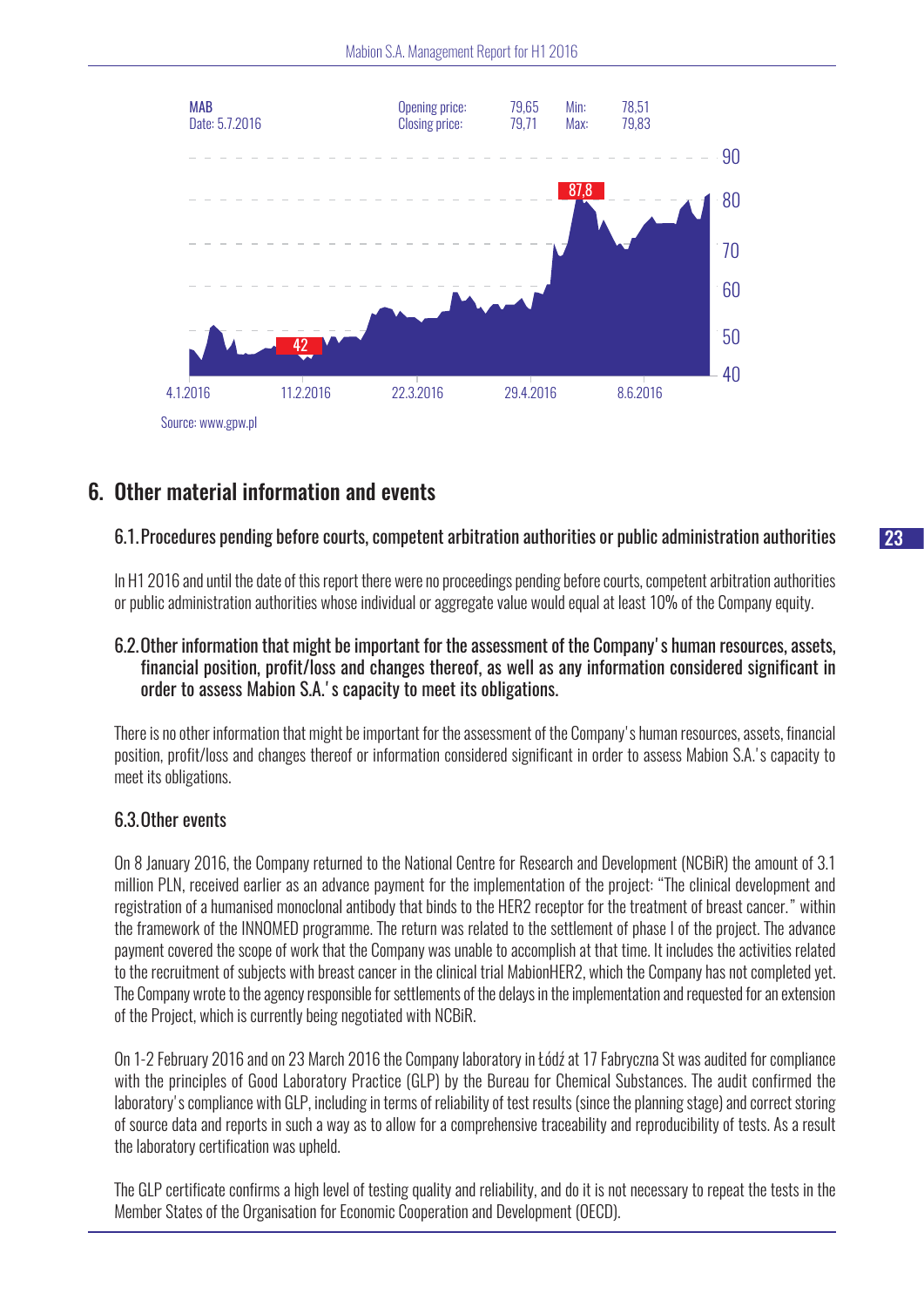

# 6. Other material information and events

## 6.1.Procedures pending before courts, competent arbitration authorities or public administration authorities

In H1 2016 and until the date of this report there were no proceedings pending before courts, competent arbitration authorities or public administration authorities whose individual or aggregate value would equal at least 10% of the Company equity.

## 6.2.Other information that might be important for the assessment of the Company's human resources, assets, financial position, profit/loss and changes thereof, as well as any information considered significant in order to assess Mabion S.A.'s capacity to meet its obligations.

There is no other information that might be important for the assessment of the Company's human resources, assets, financial position, profit/loss and changes thereof or information considered significant in order to assess Mabion S.A.'s capacity to meet its obligations.

# 6.3.Other events

On 8 January 2016, the Company returned to the National Centre for Research and Development (NCBiR) the amount of 3.1 million PLN, received earlier as an advance payment for the implementation of the project: "The clinical development and registration of a humanised monoclonal antibody that binds to the HER2 receptor for the treatment of breast cancer." within the framework of the INNOMED programme. The return was related to the settlement of phase I of the project. The advance payment covered the scope of work that the Company was unable to accomplish at that time. It includes the activities related to the recruitment of subjects with breast cancer in the clinical trial MabionHER2, which the Company has not completed yet. The Company wrote to the agency responsible for settlements of the delays in the implementation and requested for an extension of the Project, which is currently being negotiated with NCBiR.

On 1-2 February 2016 and on 23 March 2016 the Company laboratory in Łódź at 17 Fabryczna St was audited for compliance with the principles of Good Laboratory Practice (GLP) by the Bureau for Chemical Substances. The audit confirmed the laboratory's compliance with GLP, including in terms of reliability of test results (since the planning stage) and correct storing of source data and reports in such a way as to allow for a comprehensive traceability and reproducibility of tests. As a result the laboratory certification was upheld.

The GLP certificate confirms a high level of testing quality and reliability, and do it is not necessary to repeat the tests in the Member States of the Organisation for Economic Cooperation and Development (OECD).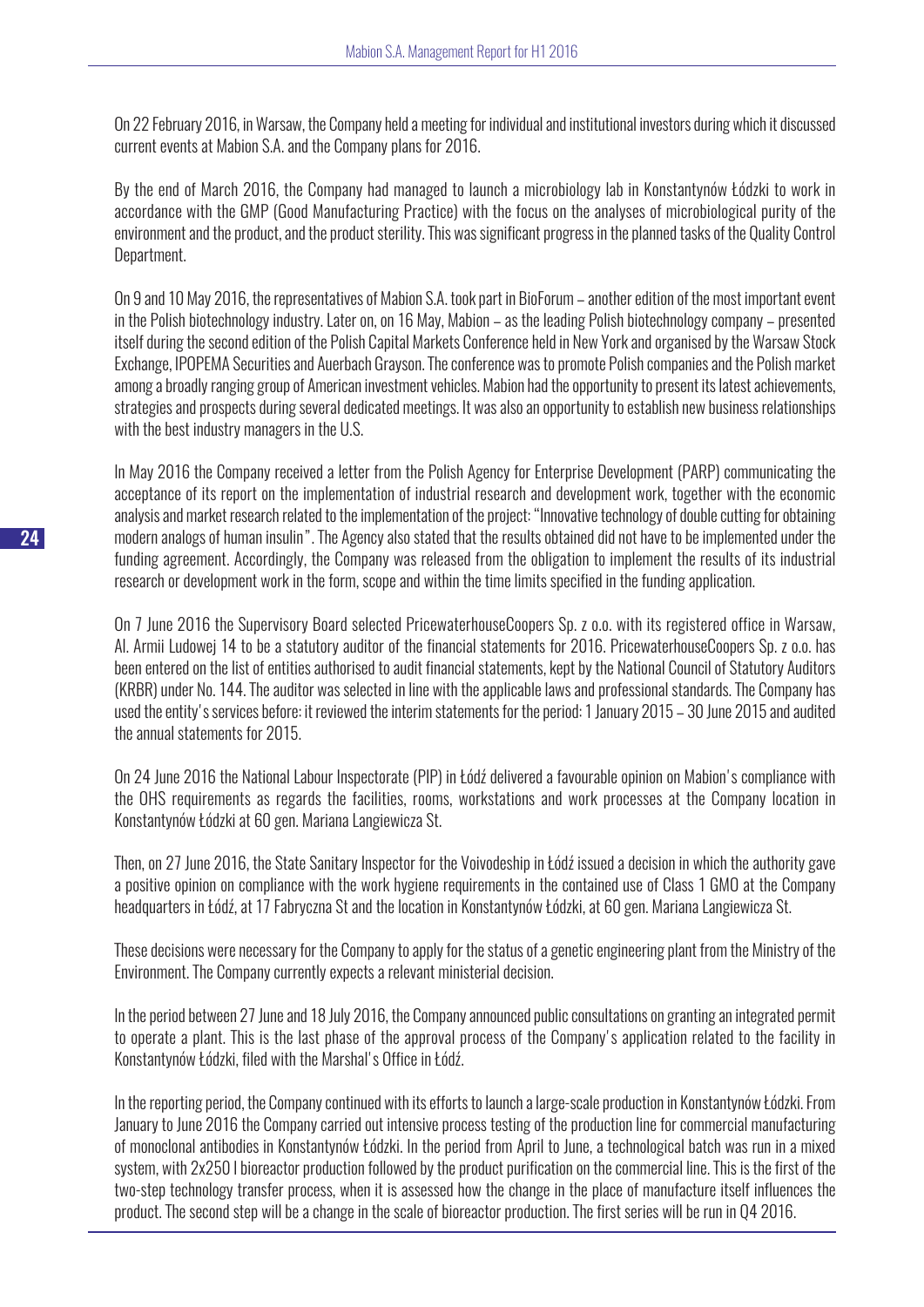On 22 February 2016, in Warsaw, the Company held a meeting for individual and institutional investors during which it discussed current events at Mabion S.A. and the Company plans for 2016.

By the end of March 2016, the Company had managed to launch a microbiology lab in Konstantynów Łódzki to work in accordance with the GMP (Good Manufacturing Practice) with the focus on the analyses of microbiological purity of the environment and the product, and the product sterility. This was significant progress in the planned tasks of the Quality Control Department.

On 9 and 10 May 2016, the representatives of Mabion S.A. took part in BioForum – another edition of the most important event in the Polish biotechnology industry. Later on, on 16 May, Mabion – as the leading Polish biotechnology company – presented itself during the second edition of the Polish Capital Markets Conference held in New York and organised by the Warsaw Stock Exchange, IPOPEMA Securities and Auerbach Grayson. The conference was to promote Polish companies and the Polish market among a broadly ranging group of American investment vehicles. Mabion had the opportunity to present its latest achievements, strategies and prospects during several dedicated meetings. It was also an opportunity to establish new business relationships with the best industry managers in the U.S.

In May 2016 the Company received a letter from the Polish Agency for Enterprise Development (PARP) communicating the acceptance of its report on the implementation of industrial research and development work, together with the economic analysis and market research related to the implementation of the project: "Innovative technology of double cutting for obtaining modern analogs of human insulin". The Agency also stated that the results obtained did not have to be implemented under the funding agreement. Accordingly, the Company was released from the obligation to implement the results of its industrial research or development work in the form, scope and within the time limits specified in the funding application.

On 7 June 2016 the Supervisory Board selected PricewaterhouseCoopers Sp. z o.o. with its registered office in Warsaw, Al. Armii Ludowej 14 to be a statutory auditor of the financial statements for 2016. PricewaterhouseCoopers Sp. z o.o. has been entered on the list of entities authorised to audit financial statements, kept by the National Council of Statutory Auditors (KRBR) under No. 144. The auditor was selected in line with the applicable laws and professional standards. The Company has used the entity's services before: it reviewed the interim statements for the period: 1 January 2015 – 30 June 2015 and audited the annual statements for 2015.

On 24 June 2016 the National Labour Inspectorate (PIP) in Łódź delivered a favourable opinion on Mabion's compliance with the OHS requirements as regards the facilities, rooms, workstations and work processes at the Company location in Konstantynów Łódzki at 60 gen. Mariana Langiewicza St.

Then, on 27 June 2016, the State Sanitary Inspector for the Voivodeship in Łódź issued a decision in which the authority gave a positive opinion on compliance with the work hygiene requirements in the contained use of Class 1 GMO at the Company headquarters in Łódź, at 17 Fabryczna St and the location in Konstantynów Łódzki, at 60 gen. Mariana Langiewicza St.

These decisions were necessary for the Company to apply for the status of a genetic engineering plant from the Ministry of the Environment. The Company currently expects a relevant ministerial decision.

In the period between 27 June and 18 July 2016, the Company announced public consultations on granting an integrated permit to operate a plant. This is the last phase of the approval process of the Company's application related to the facility in Konstantynów Łódzki, filed with the Marshal's Office in Łódź.

In the reporting period, the Company continued with its efforts to launch a large-scale production in Konstantynów Łódzki. From January to June 2016 the Company carried out intensive process testing of the production line for commercial manufacturing of monoclonal antibodies in Konstantynów Łódzki. In the period from April to June, a technological batch was run in a mixed system, with 2x250 l bioreactor production followed by the product purification on the commercial line. This is the first of the two-step technology transfer process, when it is assessed how the change in the place of manufacture itself influences the product. The second step will be a change in the scale of bioreactor production. The first series will be run in Q4 2016.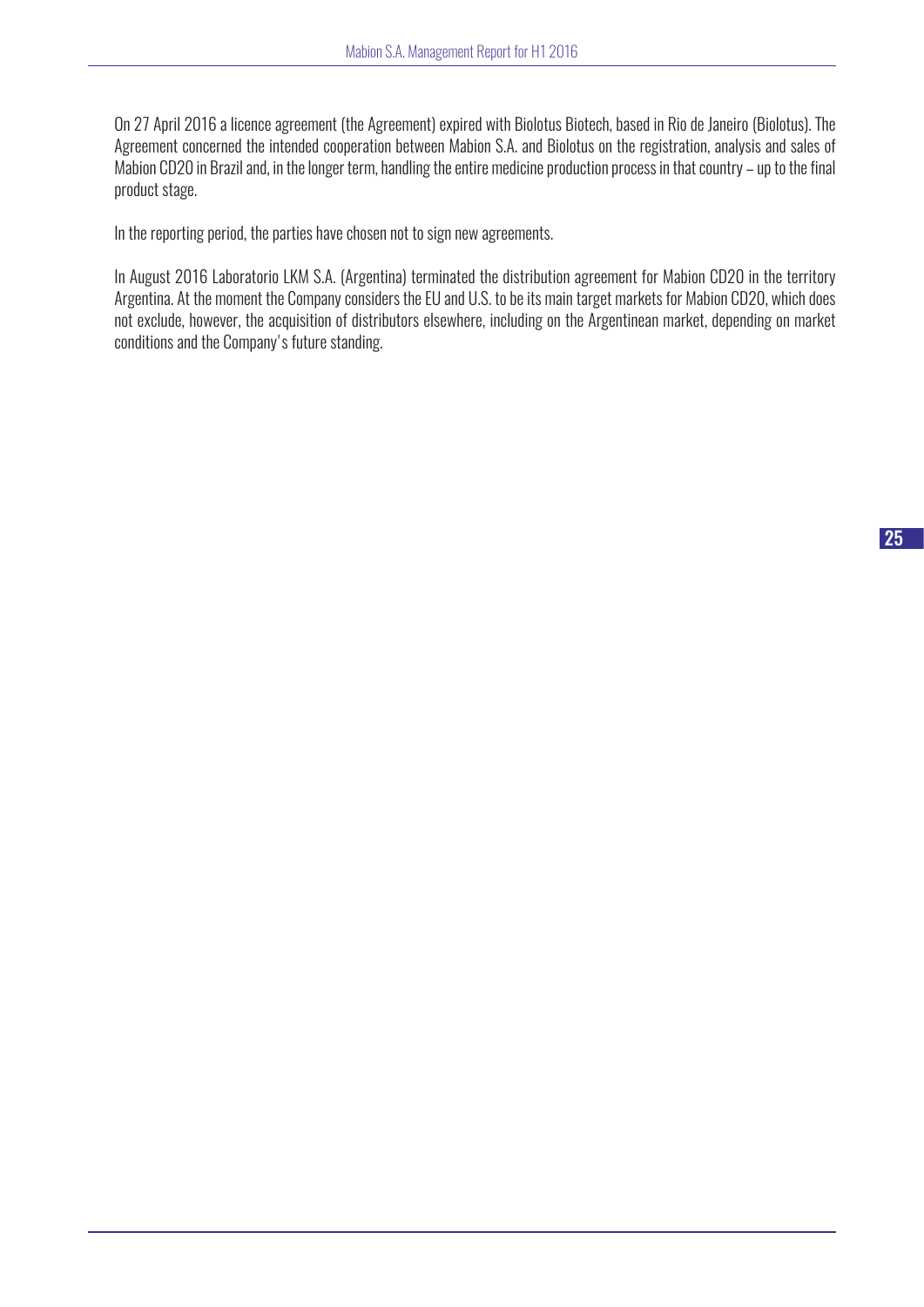On 27 April 2016 a licence agreement (the Agreement) expired with Biolotus Biotech, based in Rio de Janeiro (Biolotus). The Agreement concerned the intended cooperation between Mabion S.A. and Biolotus on the registration, analysis and sales of Mabion CD20 in Brazil and, in the longer term, handling the entire medicine production process in that country – up to the final product stage.

In the reporting period, the parties have chosen not to sign new agreements.

In August 2016 Laboratorio LKM S.A. (Argentina) terminated the distribution agreement for Mabion CD20 in the territory Argentina. At the moment the Company considers the EU and U.S. to be its main target markets for Mabion CD20, which does not exclude, however, the acquisition of distributors elsewhere, including on the Argentinean market, depending on market conditions and the Company's future standing.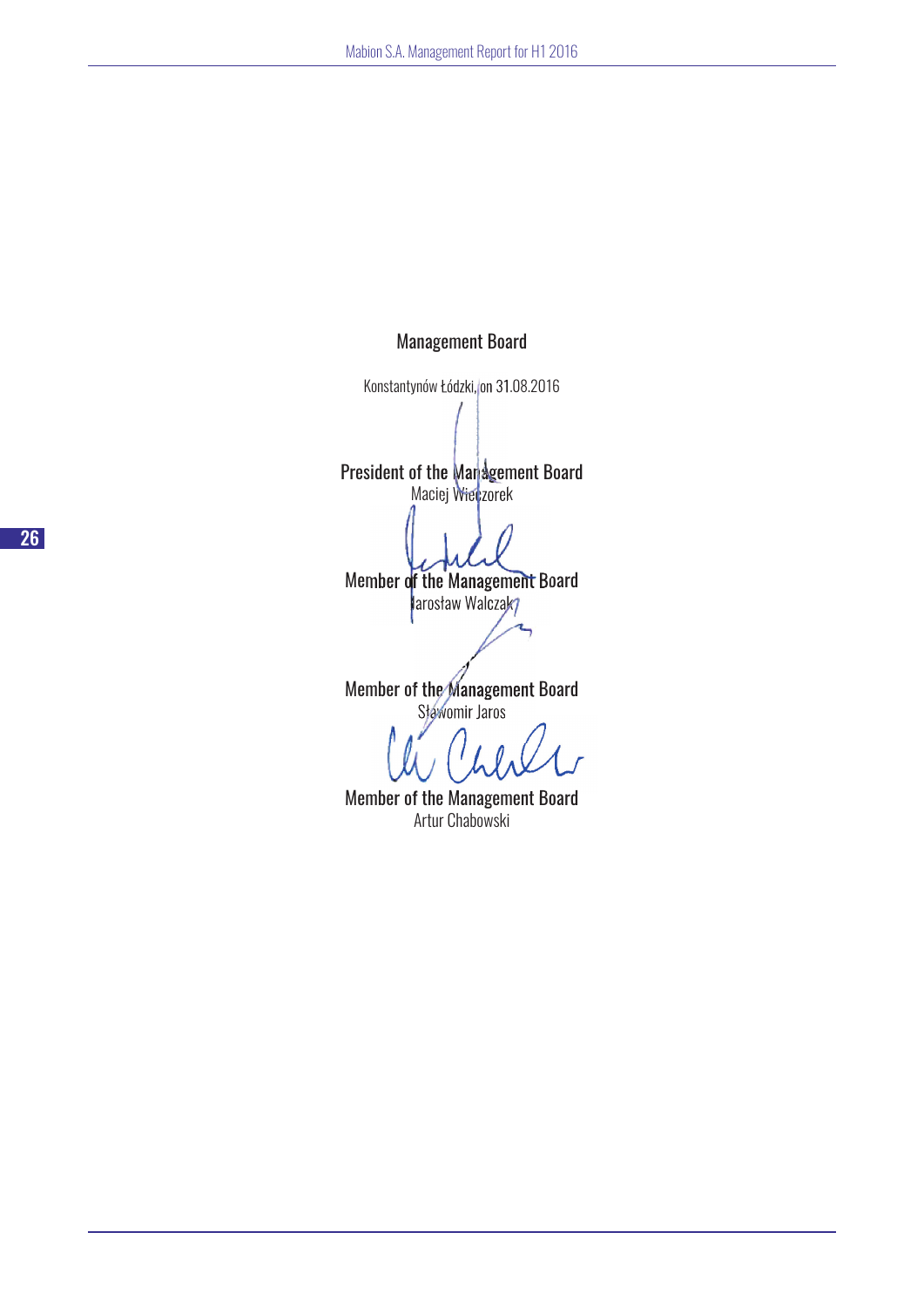# Management Board

Konstantynów Łódzki, on 31.08.2016 President of the Management Board Maciej Wieczorek

Member of the Management Board Jarosław Walczak7

Member of the Management Board Sławomir Jaros

Member of the Management Board Artur Chabowski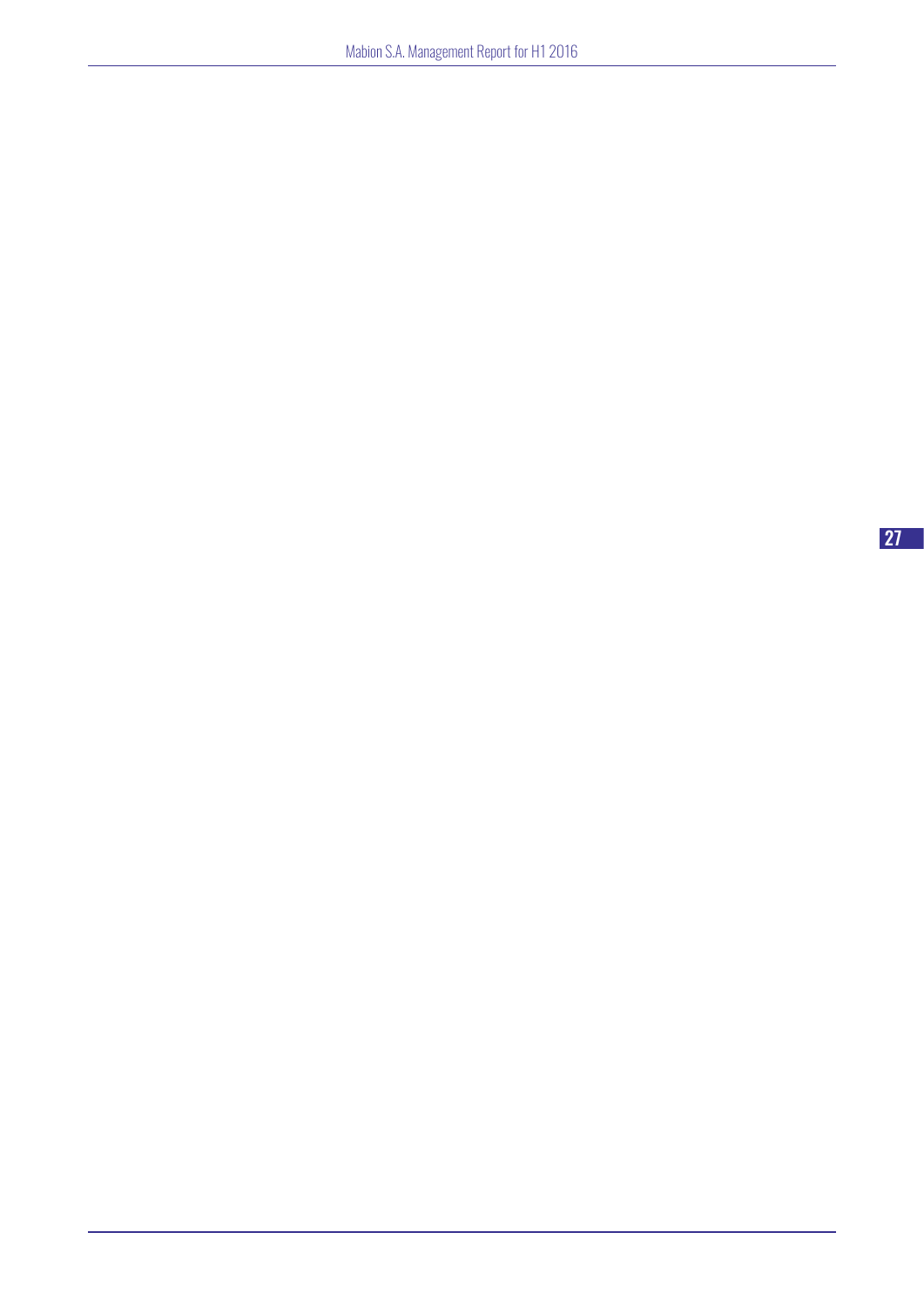27